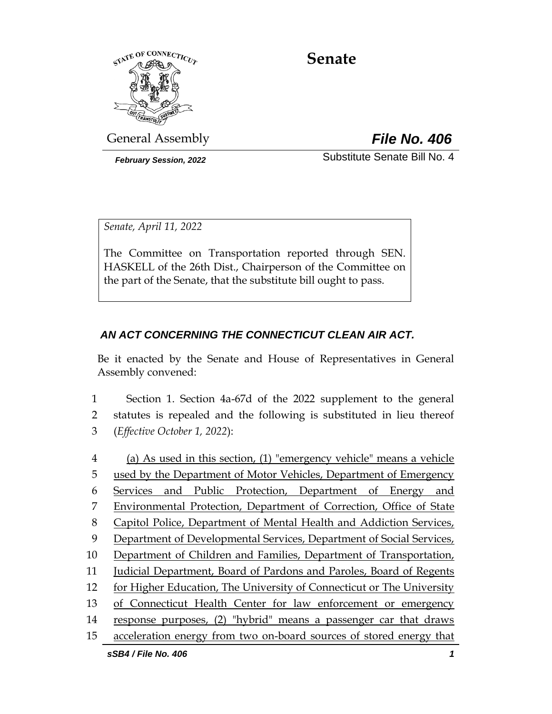

# **Senate**

General Assembly *File No. 406*

*February Session, 2022* Substitute Senate Bill No. 4

*Senate, April 11, 2022*

The Committee on Transportation reported through SEN. HASKELL of the 26th Dist., Chairperson of the Committee on the part of the Senate, that the substitute bill ought to pass.

## *AN ACT CONCERNING THE CONNECTICUT CLEAN AIR ACT.*

Be it enacted by the Senate and House of Representatives in General Assembly convened:

1 Section 1. Section 4a-67d of the 2022 supplement to the general 2 statutes is repealed and the following is substituted in lieu thereof 3 (*Effective October 1, 2022*):

*sSB4 / File No. 406 1* (a) As used in this section, (1) "emergency vehicle" means a vehicle used by the Department of Motor Vehicles, Department of Emergency Services and Public Protection, Department of Energy and Environmental Protection, Department of Correction, Office of State Capitol Police, Department of Mental Health and Addiction Services, Department of Developmental Services, Department of Social Services, Department of Children and Families, Department of Transportation, Judicial Department, Board of Pardons and Paroles, Board of Regents for Higher Education, The University of Connecticut or The University 13 of Connecticut Health Center for law enforcement or emergency response purposes, (2) "hybrid" means a passenger car that draws acceleration energy from two on-board sources of stored energy that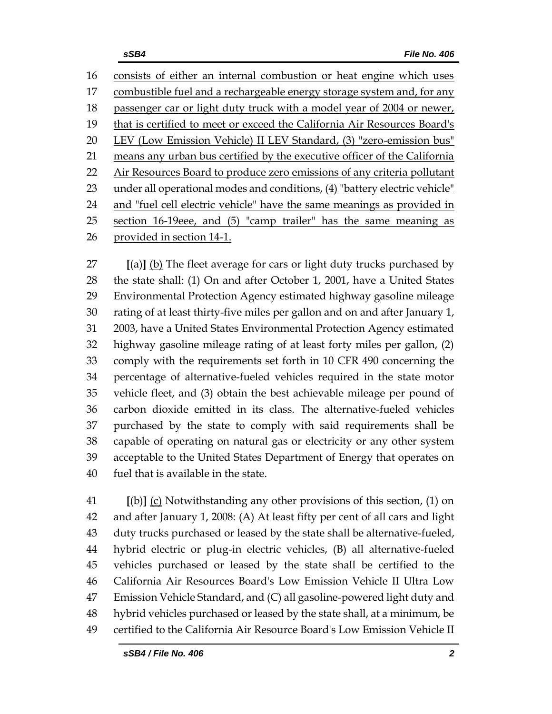consists of either an internal combustion or heat engine which uses combustible fuel and a rechargeable energy storage system and, for any 18 passenger car or light duty truck with a model year of 2004 or newer, that is certified to meet or exceed the California Air Resources Board's LEV (Low Emission Vehicle) II LEV Standard, (3) "zero-emission bus" 21 means any urban bus certified by the executive officer of the California 22 Air Resources Board to produce zero emissions of any criteria pollutant under all operational modes and conditions, (4) "battery electric vehicle" and "fuel cell electric vehicle" have the same meanings as provided in section 16-19eee, and (5) "camp trailer" has the same meaning as provided in section 14-1.

 **[**(a)**]** (b) The fleet average for cars or light duty trucks purchased by the state shall: (1) On and after October 1, 2001, have a United States Environmental Protection Agency estimated highway gasoline mileage rating of at least thirty-five miles per gallon and on and after January 1, 2003, have a United States Environmental Protection Agency estimated highway gasoline mileage rating of at least forty miles per gallon, (2) comply with the requirements set forth in 10 CFR 490 concerning the percentage of alternative-fueled vehicles required in the state motor vehicle fleet, and (3) obtain the best achievable mileage per pound of carbon dioxide emitted in its class. The alternative-fueled vehicles purchased by the state to comply with said requirements shall be capable of operating on natural gas or electricity or any other system acceptable to the United States Department of Energy that operates on fuel that is available in the state.

 **[**(b)**]** (c) Notwithstanding any other provisions of this section, (1) on and after January 1, 2008: (A) At least fifty per cent of all cars and light duty trucks purchased or leased by the state shall be alternative-fueled, hybrid electric or plug-in electric vehicles, (B) all alternative-fueled vehicles purchased or leased by the state shall be certified to the California Air Resources Board's Low Emission Vehicle II Ultra Low Emission Vehicle Standard, and (C) all gasoline-powered light duty and hybrid vehicles purchased or leased by the state shall, at a minimum, be certified to the California Air Resource Board's Low Emission Vehicle II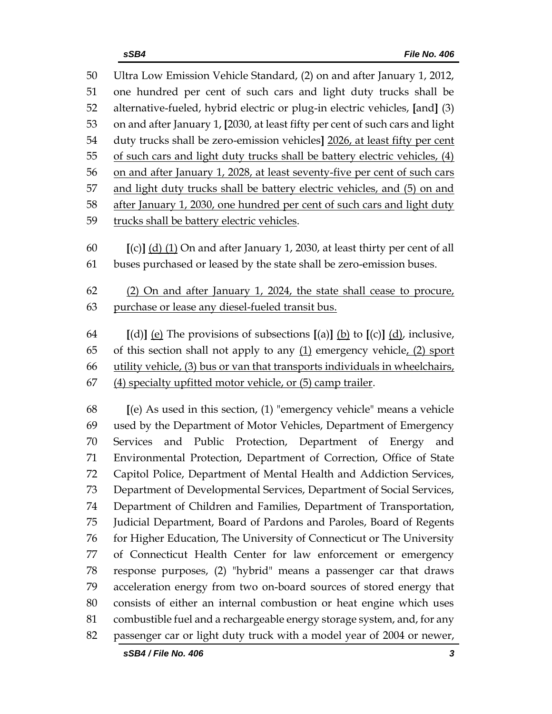Ultra Low Emission Vehicle Standard, (2) on and after January 1, 2012, one hundred per cent of such cars and light duty trucks shall be alternative-fueled, hybrid electric or plug-in electric vehicles, **[**and**]** (3) on and after January 1, **[**2030, at least fifty per cent of such cars and light duty trucks shall be zero-emission vehicles**]** 2026, at least fifty per cent of such cars and light duty trucks shall be battery electric vehicles, (4) on and after January 1, 2028, at least seventy-five per cent of such cars and light duty trucks shall be battery electric vehicles, and (5) on and after January 1, 2030, one hundred per cent of such cars and light duty trucks shall be battery electric vehicles.

 **[**(c)**]** (d) (1) On and after January 1, 2030, at least thirty per cent of all buses purchased or leased by the state shall be zero-emission buses.

 (2) On and after January 1, 2024, the state shall cease to procure, purchase or lease any diesel-fueled transit bus.

 **[**(d)**]** (e) The provisions of subsections **[**(a)**]** (b) to **[**(c)**]** (d), inclusive, 65 of this section shall not apply to any  $(1)$  emergency vehicle,  $(2)$  sport utility vehicle, (3) bus or van that transports individuals in wheelchairs, (4) specialty upfitted motor vehicle, or (5) camp trailer.

 **[**(e) As used in this section, (1) "emergency vehicle" means a vehicle used by the Department of Motor Vehicles, Department of Emergency Services and Public Protection, Department of Energy and Environmental Protection, Department of Correction, Office of State Capitol Police, Department of Mental Health and Addiction Services, Department of Developmental Services, Department of Social Services, Department of Children and Families, Department of Transportation, Judicial Department, Board of Pardons and Paroles, Board of Regents for Higher Education, The University of Connecticut or The University of Connecticut Health Center for law enforcement or emergency response purposes, (2) "hybrid" means a passenger car that draws acceleration energy from two on-board sources of stored energy that consists of either an internal combustion or heat engine which uses combustible fuel and a rechargeable energy storage system, and, for any passenger car or light duty truck with a model year of 2004 or newer,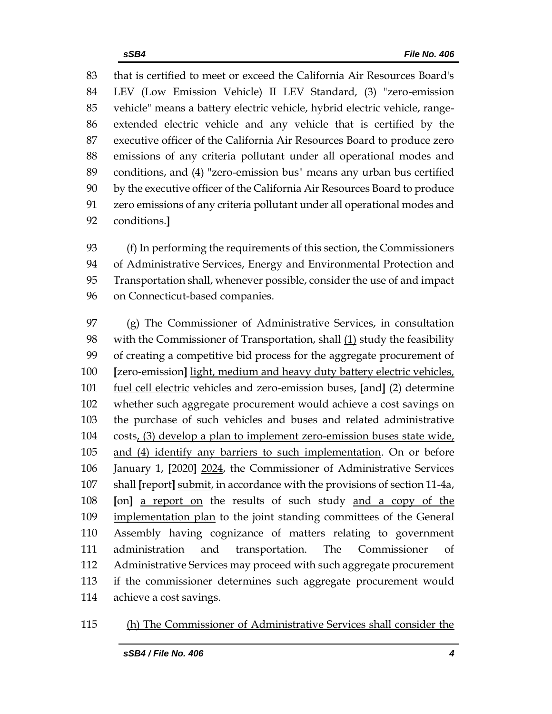that is certified to meet or exceed the California Air Resources Board's LEV (Low Emission Vehicle) II LEV Standard, (3) "zero-emission vehicle" means a battery electric vehicle, hybrid electric vehicle, range- extended electric vehicle and any vehicle that is certified by the executive officer of the California Air Resources Board to produce zero emissions of any criteria pollutant under all operational modes and conditions, and (4) "zero-emission bus" means any urban bus certified by the executive officer of the California Air Resources Board to produce zero emissions of any criteria pollutant under all operational modes and conditions.**]**

 (f) In performing the requirements of this section, the Commissioners of Administrative Services, Energy and Environmental Protection and Transportation shall, whenever possible, consider the use of and impact on Connecticut-based companies.

 (g) The Commissioner of Administrative Services, in consultation with the Commissioner of Transportation, shall (1) study the feasibility of creating a competitive bid process for the aggregate procurement of **[**zero-emission**]** light, medium and heavy duty battery electric vehicles, fuel cell electric vehicles and zero-emission buses, **[**and**]** (2) determine whether such aggregate procurement would achieve a cost savings on the purchase of such vehicles and buses and related administrative costs, (3) develop a plan to implement zero-emission buses state wide, and (4) identify any barriers to such implementation. On or before January 1, **[**2020**]** 2024, the Commissioner of Administrative Services shall **[**report**]** submit, in accordance with the provisions of section 11-4a, **[**on**]** a report on the results of such study and a copy of the implementation plan to the joint standing committees of the General Assembly having cognizance of matters relating to government administration and transportation. The Commissioner of Administrative Services may proceed with such aggregate procurement if the commissioner determines such aggregate procurement would achieve a cost savings.

#### (h) The Commissioner of Administrative Services shall consider the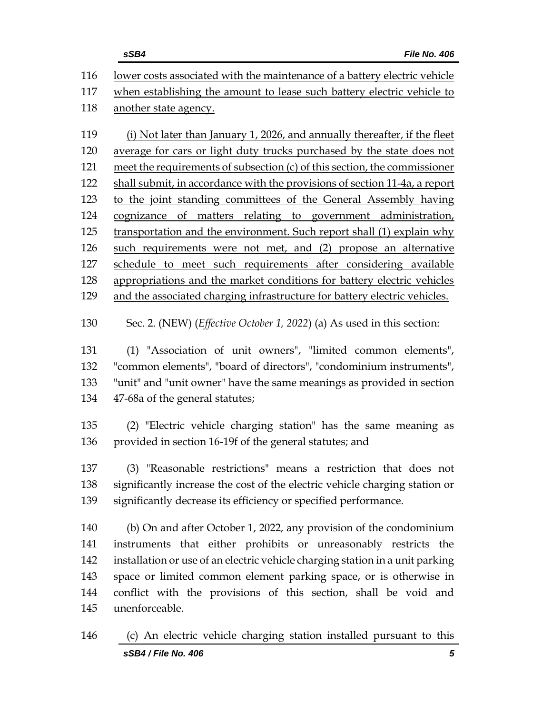|     | sSB4<br><b>File No. 406</b>                                                     |
|-----|---------------------------------------------------------------------------------|
| 116 | lower costs associated with the maintenance of a battery electric vehicle       |
| 117 | when establishing the amount to lease such battery electric vehicle to          |
| 118 | another state agency.                                                           |
| 119 | (i) Not later than January 1, 2026, and annually thereafter, if the fleet       |
| 120 | average for cars or light duty trucks purchased by the state does not           |
| 121 | meet the requirements of subsection (c) of this section, the commissioner       |
| 122 | shall submit, in accordance with the provisions of section 11-4a, a report      |
| 123 | to the joint standing committees of the General Assembly having                 |
| 124 | cognizance of matters relating to government administration,                    |
| 125 | transportation and the environment. Such report shall (1) explain why           |
| 126 | such requirements were not met, and (2) propose an alternative                  |
| 127 | schedule to meet such requirements after considering available                  |
| 128 | appropriations and the market conditions for battery electric vehicles          |
| 129 | and the associated charging infrastructure for battery electric vehicles.       |
| 130 | Sec. 2. (NEW) ( <i>Effective October 1, 2022</i> ) (a) As used in this section: |
| 131 | (1) "Association of unit owners", "limited common elements",                    |
| 132 | "common elements", "board of directors", "condominium instruments",             |
| 133 | "unit" and "unit owner" have the same meanings as provided in section           |
| 134 | 47-68a of the general statutes;                                                 |
| 135 |                                                                                 |
| 136 | (2) "Electric vehicle charging station" has the same meaning as                 |
|     | provided in section 16-19f of the general statutes; and                         |
| 137 | (3) "Reasonable restrictions" means a restriction that does not                 |
| 138 | significantly increase the cost of the electric vehicle charging station or     |
| 139 | significantly decrease its efficiency or specified performance.                 |
| 140 | (b) On and after October 1, 2022, any provision of the condominium              |

 instruments that either prohibits or unreasonably restricts the installation or use of an electric vehicle charging station in a unit parking space or limited common element parking space, or is otherwise in conflict with the provisions of this section, shall be void and unenforceable.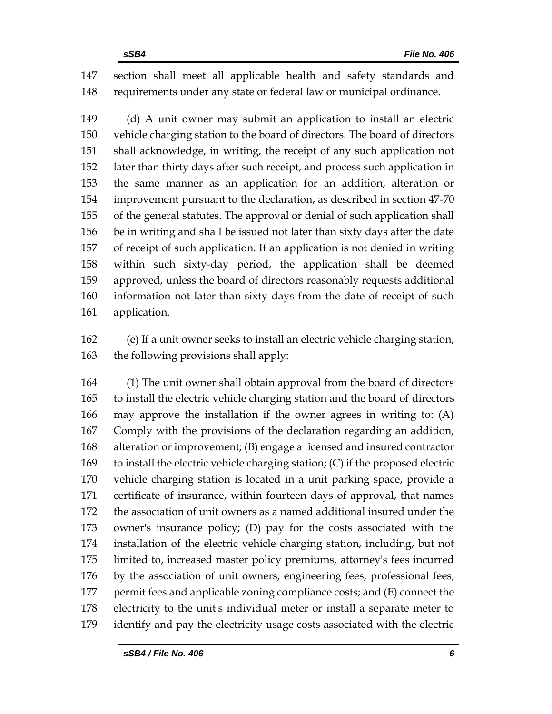section shall meet all applicable health and safety standards and requirements under any state or federal law or municipal ordinance.

 (d) A unit owner may submit an application to install an electric vehicle charging station to the board of directors. The board of directors shall acknowledge, in writing, the receipt of any such application not later than thirty days after such receipt, and process such application in the same manner as an application for an addition, alteration or improvement pursuant to the declaration, as described in section 47-70 of the general statutes. The approval or denial of such application shall be in writing and shall be issued not later than sixty days after the date of receipt of such application. If an application is not denied in writing within such sixty-day period, the application shall be deemed approved, unless the board of directors reasonably requests additional information not later than sixty days from the date of receipt of such application.

 (e) If a unit owner seeks to install an electric vehicle charging station, 163 the following provisions shall apply:

 (1) The unit owner shall obtain approval from the board of directors to install the electric vehicle charging station and the board of directors may approve the installation if the owner agrees in writing to: (A) Comply with the provisions of the declaration regarding an addition, alteration or improvement; (B) engage a licensed and insured contractor to install the electric vehicle charging station; (C) if the proposed electric vehicle charging station is located in a unit parking space, provide a certificate of insurance, within fourteen days of approval, that names the association of unit owners as a named additional insured under the owner's insurance policy; (D) pay for the costs associated with the installation of the electric vehicle charging station, including, but not limited to, increased master policy premiums, attorney's fees incurred by the association of unit owners, engineering fees, professional fees, 177 permit fees and applicable zoning compliance costs; and (E) connect the electricity to the unit's individual meter or install a separate meter to identify and pay the electricity usage costs associated with the electric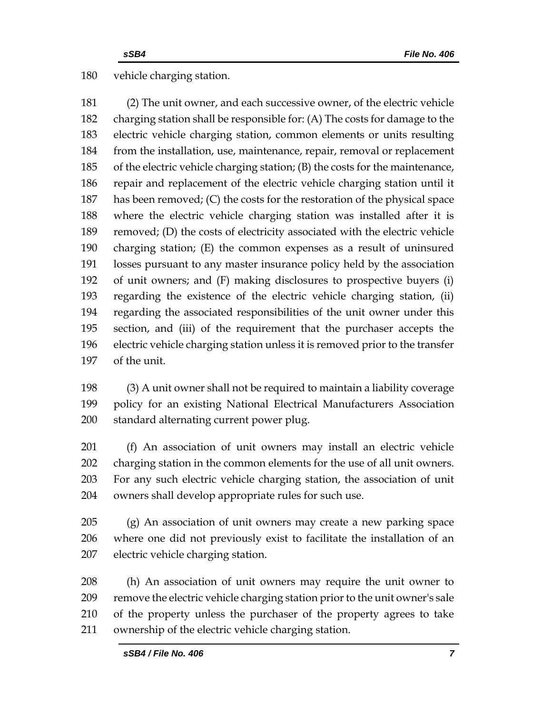#### vehicle charging station.

 (2) The unit owner, and each successive owner, of the electric vehicle charging station shall be responsible for: (A) The costs for damage to the electric vehicle charging station, common elements or units resulting from the installation, use, maintenance, repair, removal or replacement of the electric vehicle charging station; (B) the costs for the maintenance, repair and replacement of the electric vehicle charging station until it has been removed; (C) the costs for the restoration of the physical space where the electric vehicle charging station was installed after it is removed; (D) the costs of electricity associated with the electric vehicle charging station; (E) the common expenses as a result of uninsured losses pursuant to any master insurance policy held by the association of unit owners; and (F) making disclosures to prospective buyers (i) regarding the existence of the electric vehicle charging station, (ii) regarding the associated responsibilities of the unit owner under this section, and (iii) of the requirement that the purchaser accepts the electric vehicle charging station unless it is removed prior to the transfer of the unit.

 (3) A unit owner shall not be required to maintain a liability coverage policy for an existing National Electrical Manufacturers Association standard alternating current power plug.

 (f) An association of unit owners may install an electric vehicle charging station in the common elements for the use of all unit owners. For any such electric vehicle charging station, the association of unit owners shall develop appropriate rules for such use.

 (g) An association of unit owners may create a new parking space where one did not previously exist to facilitate the installation of an electric vehicle charging station.

 (h) An association of unit owners may require the unit owner to remove the electric vehicle charging station prior to the unit owner's sale of the property unless the purchaser of the property agrees to take ownership of the electric vehicle charging station.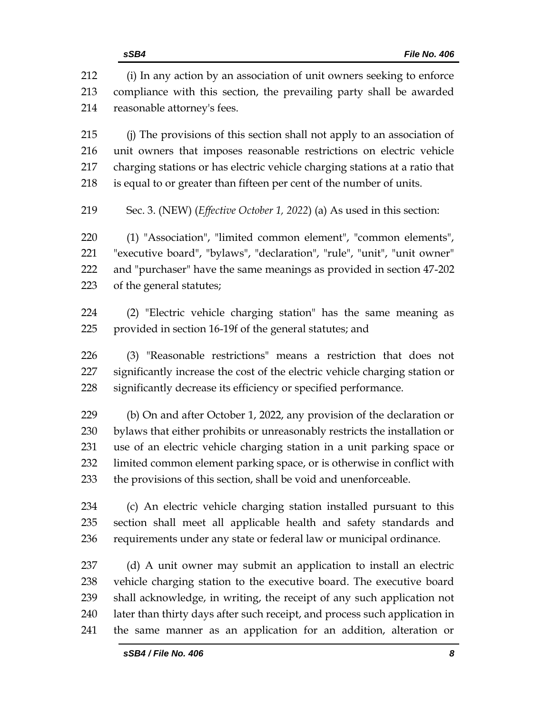(i) In any action by an association of unit owners seeking to enforce compliance with this section, the prevailing party shall be awarded reasonable attorney's fees. (j) The provisions of this section shall not apply to an association of unit owners that imposes reasonable restrictions on electric vehicle charging stations or has electric vehicle charging stations at a ratio that is equal to or greater than fifteen per cent of the number of units. Sec. 3. (NEW) (*Effective October 1, 2022*) (a) As used in this section: (1) "Association", "limited common element", "common elements", "executive board", "bylaws", "declaration", "rule", "unit", "unit owner" and "purchaser" have the same meanings as provided in section 47-202 of the general statutes; (2) "Electric vehicle charging station" has the same meaning as provided in section 16-19f of the general statutes; and (3) "Reasonable restrictions" means a restriction that does not significantly increase the cost of the electric vehicle charging station or significantly decrease its efficiency or specified performance. (b) On and after October 1, 2022, any provision of the declaration or bylaws that either prohibits or unreasonably restricts the installation or use of an electric vehicle charging station in a unit parking space or limited common element parking space, or is otherwise in conflict with the provisions of this section, shall be void and unenforceable. (c) An electric vehicle charging station installed pursuant to this section shall meet all applicable health and safety standards and requirements under any state or federal law or municipal ordinance. (d) A unit owner may submit an application to install an electric vehicle charging station to the executive board. The executive board shall acknowledge, in writing, the receipt of any such application not later than thirty days after such receipt, and process such application in the same manner as an application for an addition, alteration or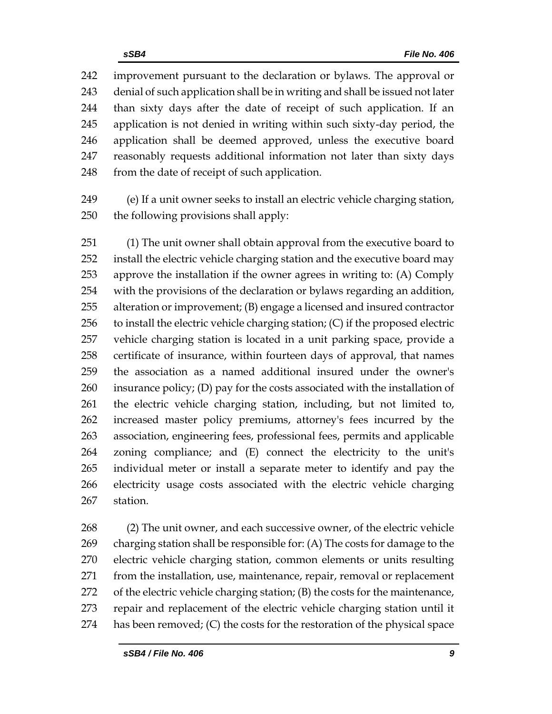improvement pursuant to the declaration or bylaws. The approval or denial of such application shall be in writing and shall be issued not later than sixty days after the date of receipt of such application. If an application is not denied in writing within such sixty-day period, the application shall be deemed approved, unless the executive board reasonably requests additional information not later than sixty days 248 from the date of receipt of such application.

 (e) If a unit owner seeks to install an electric vehicle charging station, the following provisions shall apply:

 (1) The unit owner shall obtain approval from the executive board to install the electric vehicle charging station and the executive board may approve the installation if the owner agrees in writing to: (A) Comply with the provisions of the declaration or bylaws regarding an addition, alteration or improvement; (B) engage a licensed and insured contractor to install the electric vehicle charging station; (C) if the proposed electric vehicle charging station is located in a unit parking space, provide a certificate of insurance, within fourteen days of approval, that names the association as a named additional insured under the owner's 260 insurance policy; (D) pay for the costs associated with the installation of the electric vehicle charging station, including, but not limited to, increased master policy premiums, attorney's fees incurred by the association, engineering fees, professional fees, permits and applicable zoning compliance; and (E) connect the electricity to the unit's individual meter or install a separate meter to identify and pay the electricity usage costs associated with the electric vehicle charging station.

 (2) The unit owner, and each successive owner, of the electric vehicle charging station shall be responsible for: (A) The costs for damage to the electric vehicle charging station, common elements or units resulting from the installation, use, maintenance, repair, removal or replacement of the electric vehicle charging station; (B) the costs for the maintenance, repair and replacement of the electric vehicle charging station until it has been removed; (C) the costs for the restoration of the physical space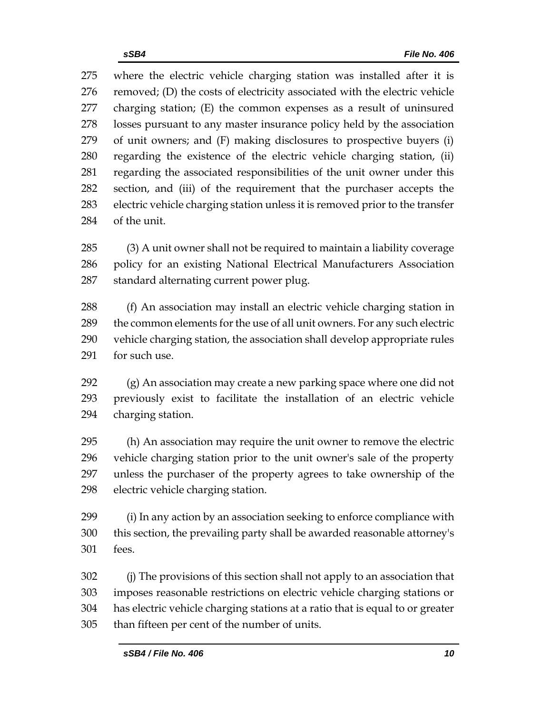where the electric vehicle charging station was installed after it is removed; (D) the costs of electricity associated with the electric vehicle charging station; (E) the common expenses as a result of uninsured losses pursuant to any master insurance policy held by the association of unit owners; and (F) making disclosures to prospective buyers (i) regarding the existence of the electric vehicle charging station, (ii) regarding the associated responsibilities of the unit owner under this section, and (iii) of the requirement that the purchaser accepts the electric vehicle charging station unless it is removed prior to the transfer of the unit.

 (3) A unit owner shall not be required to maintain a liability coverage policy for an existing National Electrical Manufacturers Association standard alternating current power plug.

 (f) An association may install an electric vehicle charging station in the common elements for the use of all unit owners. For any such electric vehicle charging station, the association shall develop appropriate rules for such use.

 (g) An association may create a new parking space where one did not previously exist to facilitate the installation of an electric vehicle charging station.

 (h) An association may require the unit owner to remove the electric vehicle charging station prior to the unit owner's sale of the property unless the purchaser of the property agrees to take ownership of the electric vehicle charging station.

 (i) In any action by an association seeking to enforce compliance with this section, the prevailing party shall be awarded reasonable attorney's fees.

 (j) The provisions of this section shall not apply to an association that imposes reasonable restrictions on electric vehicle charging stations or has electric vehicle charging stations at a ratio that is equal to or greater than fifteen per cent of the number of units.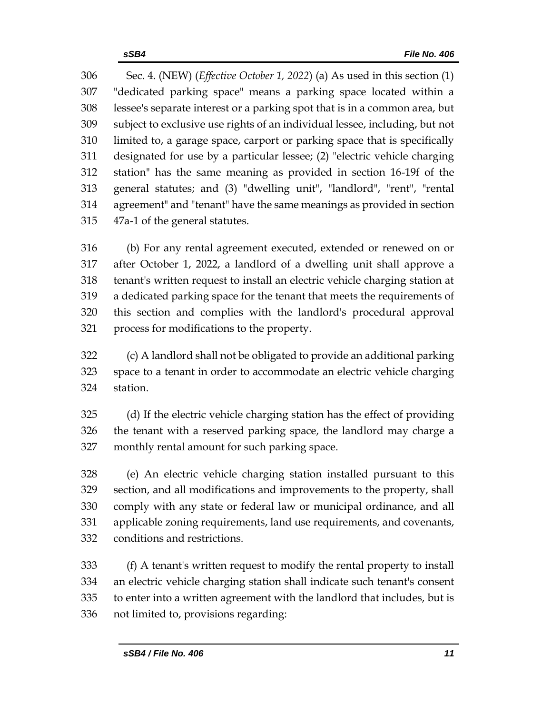Sec. 4. (NEW) (*Effective October 1, 2022*) (a) As used in this section (1) "dedicated parking space" means a parking space located within a lessee's separate interest or a parking spot that is in a common area, but subject to exclusive use rights of an individual lessee, including, but not limited to, a garage space, carport or parking space that is specifically designated for use by a particular lessee; (2) "electric vehicle charging station" has the same meaning as provided in section 16-19f of the general statutes; and (3) "dwelling unit", "landlord", "rent", "rental agreement" and "tenant" have the same meanings as provided in section 47a-1 of the general statutes.

 (b) For any rental agreement executed, extended or renewed on or after October 1, 2022, a landlord of a dwelling unit shall approve a tenant's written request to install an electric vehicle charging station at a dedicated parking space for the tenant that meets the requirements of this section and complies with the landlord's procedural approval process for modifications to the property.

 (c) A landlord shall not be obligated to provide an additional parking space to a tenant in order to accommodate an electric vehicle charging station.

 (d) If the electric vehicle charging station has the effect of providing the tenant with a reserved parking space, the landlord may charge a monthly rental amount for such parking space.

 (e) An electric vehicle charging station installed pursuant to this section, and all modifications and improvements to the property, shall comply with any state or federal law or municipal ordinance, and all applicable zoning requirements, land use requirements, and covenants, conditions and restrictions.

 (f) A tenant's written request to modify the rental property to install an electric vehicle charging station shall indicate such tenant's consent to enter into a written agreement with the landlord that includes, but is not limited to, provisions regarding: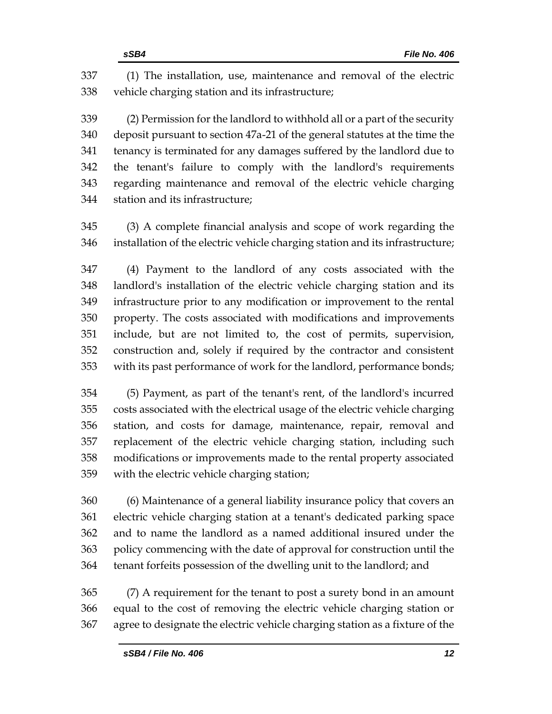(1) The installation, use, maintenance and removal of the electric vehicle charging station and its infrastructure;

 (2) Permission for the landlord to withhold all or a part of the security deposit pursuant to section 47a-21 of the general statutes at the time the tenancy is terminated for any damages suffered by the landlord due to the tenant's failure to comply with the landlord's requirements regarding maintenance and removal of the electric vehicle charging station and its infrastructure;

 (3) A complete financial analysis and scope of work regarding the installation of the electric vehicle charging station and its infrastructure;

 (4) Payment to the landlord of any costs associated with the landlord's installation of the electric vehicle charging station and its infrastructure prior to any modification or improvement to the rental property. The costs associated with modifications and improvements include, but are not limited to, the cost of permits, supervision, construction and, solely if required by the contractor and consistent with its past performance of work for the landlord, performance bonds;

 (5) Payment, as part of the tenant's rent, of the landlord's incurred costs associated with the electrical usage of the electric vehicle charging station, and costs for damage, maintenance, repair, removal and replacement of the electric vehicle charging station, including such modifications or improvements made to the rental property associated with the electric vehicle charging station;

 (6) Maintenance of a general liability insurance policy that covers an electric vehicle charging station at a tenant's dedicated parking space and to name the landlord as a named additional insured under the policy commencing with the date of approval for construction until the tenant forfeits possession of the dwelling unit to the landlord; and

 (7) A requirement for the tenant to post a surety bond in an amount equal to the cost of removing the electric vehicle charging station or agree to designate the electric vehicle charging station as a fixture of the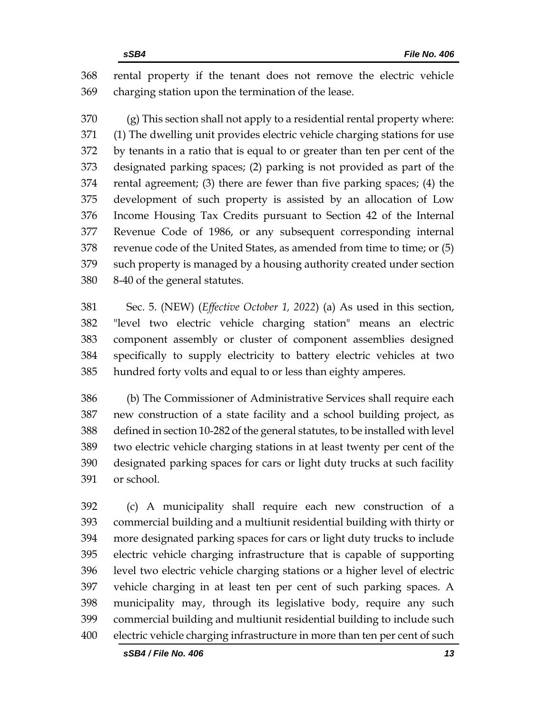rental property if the tenant does not remove the electric vehicle charging station upon the termination of the lease.

 (g) This section shall not apply to a residential rental property where: (1) The dwelling unit provides electric vehicle charging stations for use by tenants in a ratio that is equal to or greater than ten per cent of the designated parking spaces; (2) parking is not provided as part of the rental agreement; (3) there are fewer than five parking spaces; (4) the development of such property is assisted by an allocation of Low Income Housing Tax Credits pursuant to Section 42 of the Internal Revenue Code of 1986, or any subsequent corresponding internal revenue code of the United States, as amended from time to time; or (5) such property is managed by a housing authority created under section 8-40 of the general statutes.

 Sec. 5. (NEW) (*Effective October 1, 2022*) (a) As used in this section, "level two electric vehicle charging station" means an electric component assembly or cluster of component assemblies designed specifically to supply electricity to battery electric vehicles at two hundred forty volts and equal to or less than eighty amperes.

 (b) The Commissioner of Administrative Services shall require each new construction of a state facility and a school building project, as defined in section 10-282 of the general statutes, to be installed with level two electric vehicle charging stations in at least twenty per cent of the designated parking spaces for cars or light duty trucks at such facility or school.

 (c) A municipality shall require each new construction of a commercial building and a multiunit residential building with thirty or more designated parking spaces for cars or light duty trucks to include electric vehicle charging infrastructure that is capable of supporting level two electric vehicle charging stations or a higher level of electric vehicle charging in at least ten per cent of such parking spaces. A municipality may, through its legislative body, require any such commercial building and multiunit residential building to include such electric vehicle charging infrastructure in more than ten per cent of such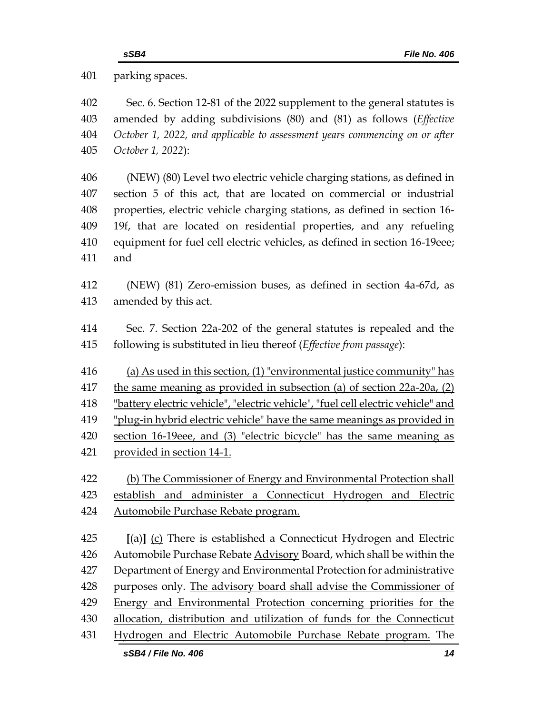parking spaces.

 Sec. 6. Section 12-81 of the 2022 supplement to the general statutes is amended by adding subdivisions (80) and (81) as follows (*Effective October 1, 2022, and applicable to assessment years commencing on or after October 1, 2022*):

 (NEW) (80) Level two electric vehicle charging stations, as defined in section 5 of this act, that are located on commercial or industrial properties, electric vehicle charging stations, as defined in section 16- 19f, that are located on residential properties, and any refueling equipment for fuel cell electric vehicles, as defined in section 16-19eee; and

 (NEW) (81) Zero-emission buses, as defined in section 4a-67d, as amended by this act.

 Sec. 7. Section 22a-202 of the general statutes is repealed and the following is substituted in lieu thereof (*Effective from passage*):

(a) As used in this section, (1) "environmental justice community" has

the same meaning as provided in subsection (a) of section 22a-20a, (2)

"battery electric vehicle", "electric vehicle", "fuel cell electric vehicle" and

"plug-in hybrid electric vehicle" have the same meanings as provided in

 section 16-19eee, and (3) "electric bicycle" has the same meaning as provided in section 14-1.

 (b) The Commissioner of Energy and Environmental Protection shall 423 establish and administer a Connecticut Hydrogen and Electric Automobile Purchase Rebate program.

 **[**(a)**]** (c) There is established a Connecticut Hydrogen and Electric 426 Automobile Purchase Rebate Advisory Board, which shall be within the Department of Energy and Environmental Protection for administrative purposes only. The advisory board shall advise the Commissioner of Energy and Environmental Protection concerning priorities for the allocation, distribution and utilization of funds for the Connecticut Hydrogen and Electric Automobile Purchase Rebate program. The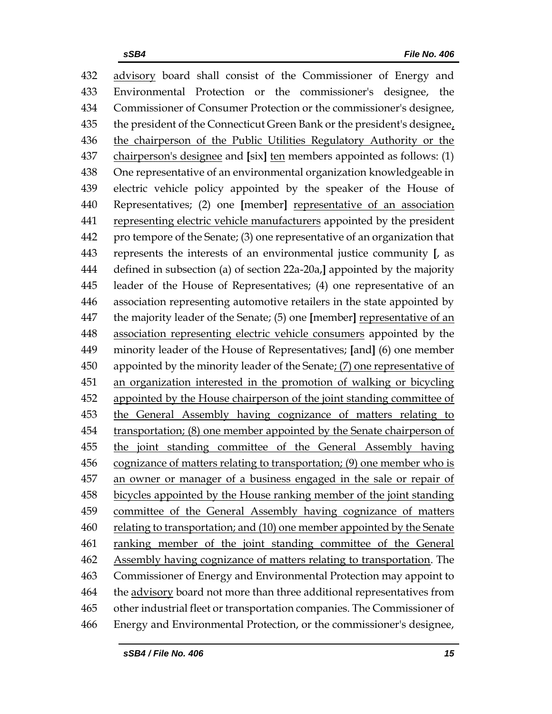advisory board shall consist of the Commissioner of Energy and Environmental Protection or the commissioner's designee, the Commissioner of Consumer Protection or the commissioner's designee, the president of the Connecticut Green Bank or the president's designee, the chairperson of the Public Utilities Regulatory Authority or the chairperson's designee and **[**six**]** ten members appointed as follows: (1) One representative of an environmental organization knowledgeable in electric vehicle policy appointed by the speaker of the House of Representatives; (2) one **[**member**]** representative of an association representing electric vehicle manufacturers appointed by the president pro tempore of the Senate; (3) one representative of an organization that represents the interests of an environmental justice community **[**, as defined in subsection (a) of section 22a-20a,**]** appointed by the majority leader of the House of Representatives; (4) one representative of an association representing automotive retailers in the state appointed by the majority leader of the Senate; (5) one **[**member**]** representative of an association representing electric vehicle consumers appointed by the minority leader of the House of Representatives; **[**and**]** (6) one member appointed by the minority leader of the Senate; (7) one representative of an organization interested in the promotion of walking or bicycling appointed by the House chairperson of the joint standing committee of the General Assembly having cognizance of matters relating to 454 transportation; (8) one member appointed by the Senate chairperson of the joint standing committee of the General Assembly having cognizance of matters relating to transportation; (9) one member who is an owner or manager of a business engaged in the sale or repair of bicycles appointed by the House ranking member of the joint standing committee of the General Assembly having cognizance of matters relating to transportation; and (10) one member appointed by the Senate ranking member of the joint standing committee of the General 462 Assembly having cognizance of matters relating to transportation. The Commissioner of Energy and Environmental Protection may appoint to the advisory board not more than three additional representatives from other industrial fleet or transportation companies. The Commissioner of Energy and Environmental Protection, or the commissioner's designee,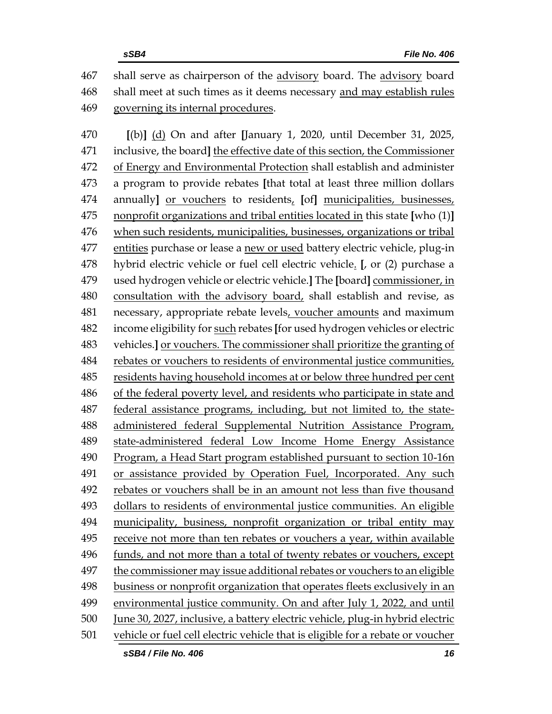shall serve as chairperson of the advisory board. The advisory board shall meet at such times as it deems necessary and may establish rules governing its internal procedures.

 **[**(b)**]** (d) On and after **[**January 1, 2020, until December 31, 2025, inclusive, the board**]** the effective date of this section, the Commissioner of Energy and Environmental Protection shall establish and administer a program to provide rebates **[**that total at least three million dollars annually**]** or vouchers to residents, **[**of**]** municipalities, businesses, nonprofit organizations and tribal entities located in this state **[**who (1)**]** when such residents, municipalities, businesses, organizations or tribal entities purchase or lease a new or used battery electric vehicle, plug-in hybrid electric vehicle or fuel cell electric vehicle. **[**, or (2) purchase a used hydrogen vehicle or electric vehicle.**]** The **[**board**]** commissioner, in consultation with the advisory board, shall establish and revise, as necessary, appropriate rebate levels, voucher amounts and maximum income eligibility for such rebates **[**for used hydrogen vehicles or electric vehicles.**]** or vouchers. The commissioner shall prioritize the granting of 484 rebates or vouchers to residents of environmental justice communities, residents having household incomes at or below three hundred per cent of the federal poverty level, and residents who participate in state and federal assistance programs, including, but not limited to, the state- administered federal Supplemental Nutrition Assistance Program, state-administered federal Low Income Home Energy Assistance Program, a Head Start program established pursuant to section 10-16n or assistance provided by Operation Fuel, Incorporated. Any such rebates or vouchers shall be in an amount not less than five thousand dollars to residents of environmental justice communities. An eligible municipality, business, nonprofit organization or tribal entity may receive not more than ten rebates or vouchers a year, within available funds, and not more than a total of twenty rebates or vouchers, except the commissioner may issue additional rebates or vouchers to an eligible business or nonprofit organization that operates fleets exclusively in an environmental justice community. On and after July 1, 2022, and until June 30, 2027, inclusive, a battery electric vehicle, plug-in hybrid electric vehicle or fuel cell electric vehicle that is eligible for a rebate or voucher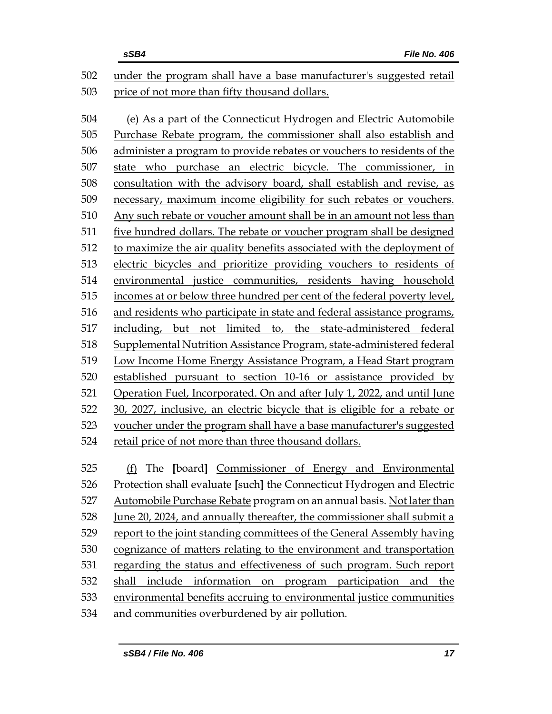|     | sSB4<br>File No. 406                                                      |
|-----|---------------------------------------------------------------------------|
| 502 | under the program shall have a base manufacturer's suggested retail       |
| 503 | price of not more than fifty thousand dollars.                            |
|     |                                                                           |
| 504 | (e) As a part of the Connecticut Hydrogen and Electric Automobile         |
| 505 | Purchase Rebate program, the commissioner shall also establish and        |
| 506 | administer a program to provide rebates or vouchers to residents of the   |
| 507 | state who purchase an electric bicycle. The commissioner, in              |
| 508 | consultation with the advisory board, shall establish and revise, as      |
| 509 | necessary, maximum income eligibility for such rebates or vouchers.       |
| 510 | Any such rebate or voucher amount shall be in an amount not less than     |
| 511 | five hundred dollars. The rebate or voucher program shall be designed     |
| 512 | to maximize the air quality benefits associated with the deployment of    |
| 513 | electric bicycles and prioritize providing vouchers to residents of       |
| 514 | environmental justice communities, residents having household             |
| 515 | incomes at or below three hundred per cent of the federal poverty level,  |
| 516 | and residents who participate in state and federal assistance programs,   |
| 517 | including, but not limited to, the state-administered federal             |
| 518 | Supplemental Nutrition Assistance Program, state-administered federal     |
| 519 | Low Income Home Energy Assistance Program, a Head Start program           |
| 520 | established pursuant to section 10-16 or assistance provided by           |
| 521 | Operation Fuel, Incorporated. On and after July 1, 2022, and until June   |
| 522 | 30, 2027, inclusive, an electric bicycle that is eligible for a rebate or |
| 523 | voucher under the program shall have a base manufacturer's suggested      |
| 524 | retail price of not more than three thousand dollars.                     |
|     |                                                                           |
| 525 | (f) The [board] Commissioner of Energy and Environmental                  |
| 526 | Protection shall evaluate [such] the Connecticut Hydrogen and Electric    |
| 527 | Automobile Purchase Rebate program on an annual basis. Not later than     |
| 528 | June 20, 2024, and annually thereafter, the commissioner shall submit a   |
| 529 | report to the joint standing committees of the General Assembly having    |
| 530 | cognizance of matters relating to the environment and transportation      |
| 531 | regarding the status and effectiveness of such program. Such report       |
| 532 | shall include information on program participation and the                |
|     |                                                                           |

and communities overburdened by air pollution.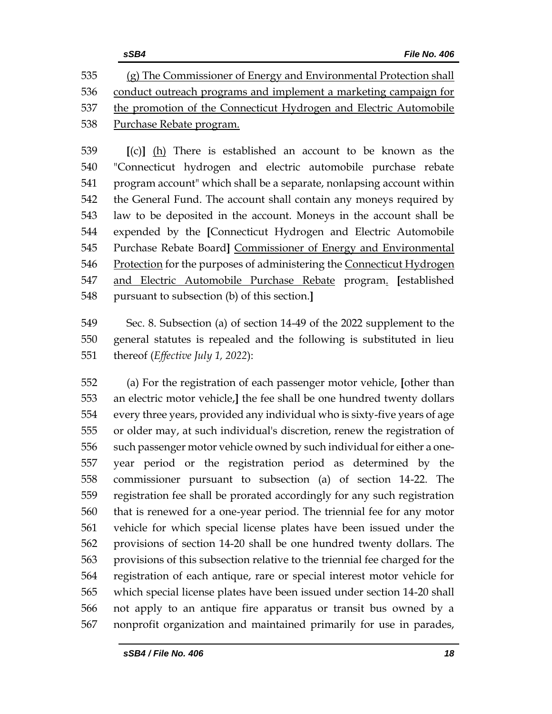**[**(c)**]** (h) There is established an account to be known as the "Connecticut hydrogen and electric automobile purchase rebate program account" which shall be a separate, nonlapsing account within the General Fund. The account shall contain any moneys required by law to be deposited in the account. Moneys in the account shall be expended by the **[**Connecticut Hydrogen and Electric Automobile Purchase Rebate Board**]** Commissioner of Energy and Environmental Protection for the purposes of administering the Connecticut Hydrogen and Electric Automobile Purchase Rebate program. **[**established pursuant to subsection (b) of this section.**]**

 Sec. 8. Subsection (a) of section 14-49 of the 2022 supplement to the general statutes is repealed and the following is substituted in lieu thereof (*Effective July 1, 2022*):

 (a) For the registration of each passenger motor vehicle, **[**other than an electric motor vehicle,**]** the fee shall be one hundred twenty dollars every three years, provided any individual who is sixty-five years of age or older may, at such individual's discretion, renew the registration of such passenger motor vehicle owned by such individual for either a one- year period or the registration period as determined by the commissioner pursuant to subsection (a) of section 14-22. The registration fee shall be prorated accordingly for any such registration that is renewed for a one-year period. The triennial fee for any motor vehicle for which special license plates have been issued under the provisions of section 14-20 shall be one hundred twenty dollars. The provisions of this subsection relative to the triennial fee charged for the registration of each antique, rare or special interest motor vehicle for which special license plates have been issued under section 14-20 shall not apply to an antique fire apparatus or transit bus owned by a nonprofit organization and maintained primarily for use in parades,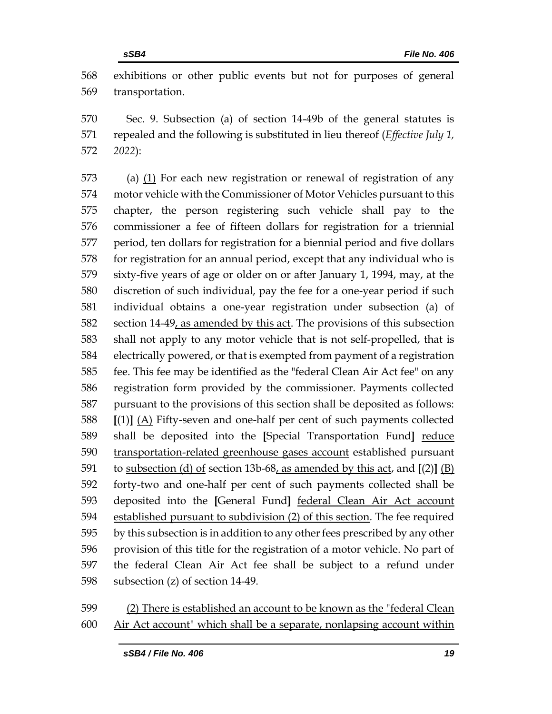exhibitions or other public events but not for purposes of general transportation.

 Sec. 9. Subsection (a) of section 14-49b of the general statutes is repealed and the following is substituted in lieu thereof (*Effective July 1, 2022*):

 (a) (1) For each new registration or renewal of registration of any motor vehicle with the Commissioner of Motor Vehicles pursuant to this chapter, the person registering such vehicle shall pay to the commissioner a fee of fifteen dollars for registration for a triennial period, ten dollars for registration for a biennial period and five dollars for registration for an annual period, except that any individual who is sixty-five years of age or older on or after January 1, 1994, may, at the discretion of such individual, pay the fee for a one-year period if such individual obtains a one-year registration under subsection (a) of 582 section 14-49, as amended by this act. The provisions of this subsection shall not apply to any motor vehicle that is not self-propelled, that is electrically powered, or that is exempted from payment of a registration fee. This fee may be identified as the "federal Clean Air Act fee" on any registration form provided by the commissioner. Payments collected pursuant to the provisions of this section shall be deposited as follows: **[**(1)**]** (A) Fifty-seven and one-half per cent of such payments collected shall be deposited into the **[**Special Transportation Fund**]** reduce 590 transportation-related greenhouse gases account established pursuant to subsection (d) of section 13b-68, as amended by this act, and **[**(2)**]** (B) forty-two and one-half per cent of such payments collected shall be deposited into the **[**General Fund**]** federal Clean Air Act account established pursuant to subdivision (2) of this section. The fee required by this subsection is in addition to any other fees prescribed by any other provision of this title for the registration of a motor vehicle. No part of the federal Clean Air Act fee shall be subject to a refund under subsection (z) of section 14-49.

## (2) There is established an account to be known as the "federal Clean Air Act account" which shall be a separate, nonlapsing account within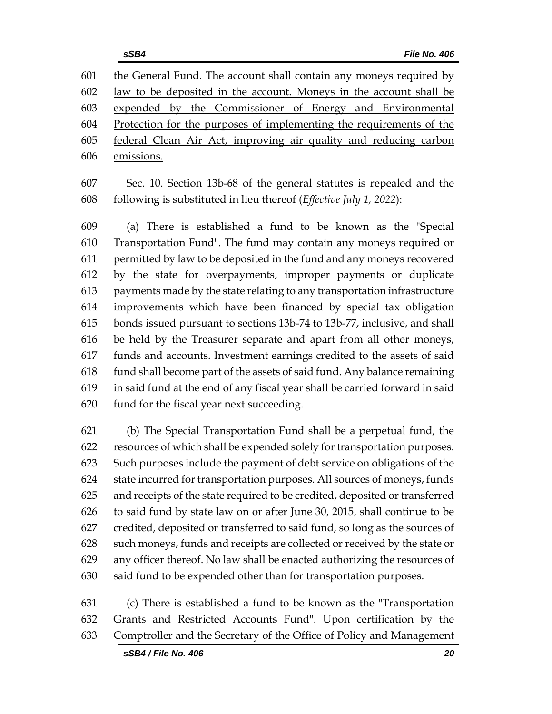the General Fund. The account shall contain any moneys required by law to be deposited in the account. Moneys in the account shall be expended by the Commissioner of Energy and Environmental Protection for the purposes of implementing the requirements of the federal Clean Air Act, improving air quality and reducing carbon emissions.

 Sec. 10. Section 13b-68 of the general statutes is repealed and the following is substituted in lieu thereof (*Effective July 1, 2022*):

 (a) There is established a fund to be known as the "Special Transportation Fund". The fund may contain any moneys required or permitted by law to be deposited in the fund and any moneys recovered by the state for overpayments, improper payments or duplicate payments made by the state relating to any transportation infrastructure improvements which have been financed by special tax obligation bonds issued pursuant to sections 13b-74 to 13b-77, inclusive, and shall be held by the Treasurer separate and apart from all other moneys, funds and accounts. Investment earnings credited to the assets of said fund shall become part of the assets of said fund. Any balance remaining in said fund at the end of any fiscal year shall be carried forward in said fund for the fiscal year next succeeding.

 (b) The Special Transportation Fund shall be a perpetual fund, the resources of which shall be expended solely for transportation purposes. Such purposes include the payment of debt service on obligations of the state incurred for transportation purposes. All sources of moneys, funds and receipts of the state required to be credited, deposited or transferred to said fund by state law on or after June 30, 2015, shall continue to be credited, deposited or transferred to said fund, so long as the sources of such moneys, funds and receipts are collected or received by the state or any officer thereof. No law shall be enacted authorizing the resources of said fund to be expended other than for transportation purposes.

 (c) There is established a fund to be known as the "Transportation Grants and Restricted Accounts Fund". Upon certification by the Comptroller and the Secretary of the Office of Policy and Management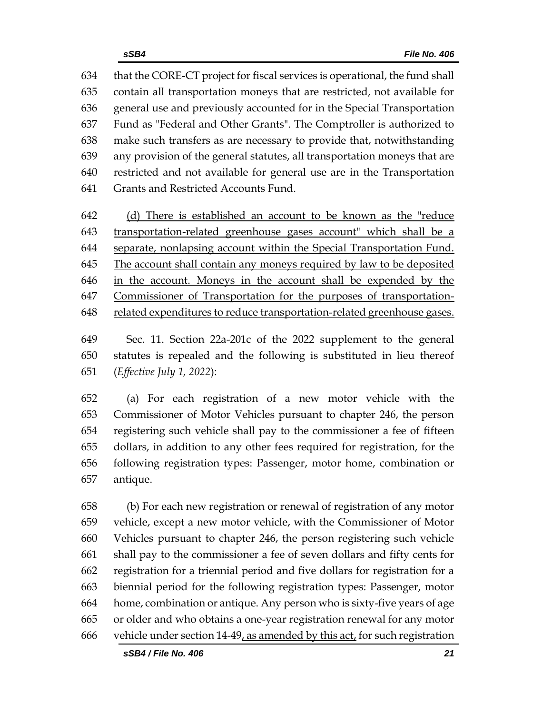that the CORE-CT project for fiscal services is operational, the fund shall contain all transportation moneys that are restricted, not available for general use and previously accounted for in the Special Transportation Fund as "Federal and Other Grants". The Comptroller is authorized to make such transfers as are necessary to provide that, notwithstanding any provision of the general statutes, all transportation moneys that are restricted and not available for general use are in the Transportation Grants and Restricted Accounts Fund.

 (d) There is established an account to be known as the "reduce transportation-related greenhouse gases account" which shall be a separate, nonlapsing account within the Special Transportation Fund. The account shall contain any moneys required by law to be deposited in the account. Moneys in the account shall be expended by the Commissioner of Transportation for the purposes of transportation-related expenditures to reduce transportation-related greenhouse gases.

 Sec. 11. Section 22a-201c of the 2022 supplement to the general statutes is repealed and the following is substituted in lieu thereof (*Effective July 1, 2022*):

 (a) For each registration of a new motor vehicle with the Commissioner of Motor Vehicles pursuant to chapter 246, the person registering such vehicle shall pay to the commissioner a fee of fifteen dollars, in addition to any other fees required for registration, for the following registration types: Passenger, motor home, combination or antique.

 (b) For each new registration or renewal of registration of any motor vehicle, except a new motor vehicle, with the Commissioner of Motor Vehicles pursuant to chapter 246, the person registering such vehicle shall pay to the commissioner a fee of seven dollars and fifty cents for registration for a triennial period and five dollars for registration for a biennial period for the following registration types: Passenger, motor home, combination or antique. Any person who is sixty-five years of age or older and who obtains a one-year registration renewal for any motor vehicle under section 14-49, as amended by this act, for such registration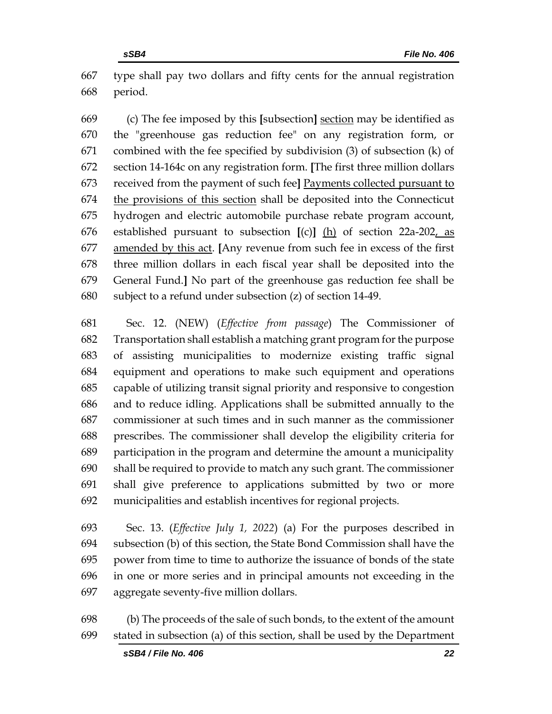type shall pay two dollars and fifty cents for the annual registration period.

 (c) The fee imposed by this **[**subsection**]** section may be identified as the "greenhouse gas reduction fee" on any registration form, or combined with the fee specified by subdivision (3) of subsection (k) of section 14-164c on any registration form. **[**The first three million dollars received from the payment of such fee**]** Payments collected pursuant to the provisions of this section shall be deposited into the Connecticut hydrogen and electric automobile purchase rebate program account, established pursuant to subsection **[**(c)**]** (h) of section 22a-202, as amended by this act. **[**Any revenue from such fee in excess of the first three million dollars in each fiscal year shall be deposited into the General Fund.**]** No part of the greenhouse gas reduction fee shall be subject to a refund under subsection (z) of section 14-49.

 Sec. 12. (NEW) (*Effective from passage*) The Commissioner of Transportation shall establish a matching grant program for the purpose of assisting municipalities to modernize existing traffic signal equipment and operations to make such equipment and operations capable of utilizing transit signal priority and responsive to congestion and to reduce idling. Applications shall be submitted annually to the commissioner at such times and in such manner as the commissioner prescribes. The commissioner shall develop the eligibility criteria for participation in the program and determine the amount a municipality shall be required to provide to match any such grant. The commissioner shall give preference to applications submitted by two or more municipalities and establish incentives for regional projects.

 Sec. 13. (*Effective July 1, 2022*) (a) For the purposes described in subsection (b) of this section, the State Bond Commission shall have the power from time to time to authorize the issuance of bonds of the state in one or more series and in principal amounts not exceeding in the aggregate seventy-five million dollars.

 (b) The proceeds of the sale of such bonds, to the extent of the amount stated in subsection (a) of this section, shall be used by the Department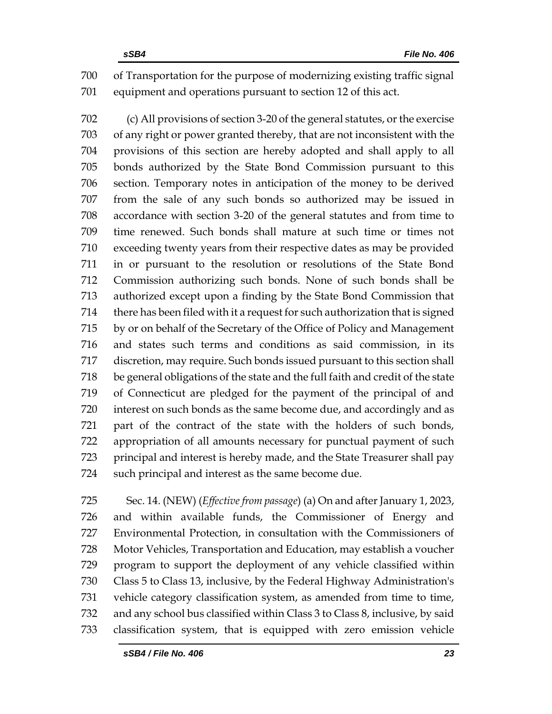of Transportation for the purpose of modernizing existing traffic signal equipment and operations pursuant to section 12 of this act.

 (c) All provisions of section 3-20 of the general statutes, or the exercise of any right or power granted thereby, that are not inconsistent with the provisions of this section are hereby adopted and shall apply to all bonds authorized by the State Bond Commission pursuant to this section. Temporary notes in anticipation of the money to be derived from the sale of any such bonds so authorized may be issued in accordance with section 3-20 of the general statutes and from time to time renewed. Such bonds shall mature at such time or times not exceeding twenty years from their respective dates as may be provided in or pursuant to the resolution or resolutions of the State Bond Commission authorizing such bonds. None of such bonds shall be authorized except upon a finding by the State Bond Commission that there has been filed with it a request for such authorization that is signed by or on behalf of the Secretary of the Office of Policy and Management and states such terms and conditions as said commission, in its discretion, may require. Such bonds issued pursuant to this section shall be general obligations of the state and the full faith and credit of the state of Connecticut are pledged for the payment of the principal of and interest on such bonds as the same become due, and accordingly and as part of the contract of the state with the holders of such bonds, appropriation of all amounts necessary for punctual payment of such principal and interest is hereby made, and the State Treasurer shall pay such principal and interest as the same become due.

 Sec. 14. (NEW) (*Effective from passage*) (a) On and after January 1, 2023, and within available funds, the Commissioner of Energy and Environmental Protection, in consultation with the Commissioners of Motor Vehicles, Transportation and Education, may establish a voucher program to support the deployment of any vehicle classified within Class 5 to Class 13, inclusive, by the Federal Highway Administration's vehicle category classification system, as amended from time to time, and any school bus classified within Class 3 to Class 8, inclusive, by said classification system, that is equipped with zero emission vehicle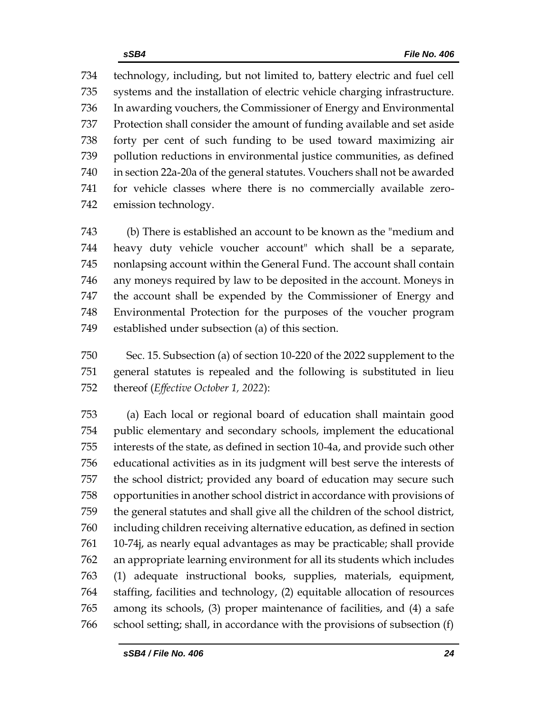technology, including, but not limited to, battery electric and fuel cell systems and the installation of electric vehicle charging infrastructure. In awarding vouchers, the Commissioner of Energy and Environmental Protection shall consider the amount of funding available and set aside forty per cent of such funding to be used toward maximizing air pollution reductions in environmental justice communities, as defined in section 22a-20a of the general statutes. Vouchers shall not be awarded for vehicle classes where there is no commercially available zero-emission technology.

 (b) There is established an account to be known as the "medium and heavy duty vehicle voucher account" which shall be a separate, nonlapsing account within the General Fund. The account shall contain any moneys required by law to be deposited in the account. Moneys in the account shall be expended by the Commissioner of Energy and Environmental Protection for the purposes of the voucher program established under subsection (a) of this section.

 Sec. 15. Subsection (a) of section 10-220 of the 2022 supplement to the general statutes is repealed and the following is substituted in lieu thereof (*Effective October 1, 2022*):

 (a) Each local or regional board of education shall maintain good public elementary and secondary schools, implement the educational interests of the state, as defined in section 10-4a, and provide such other educational activities as in its judgment will best serve the interests of the school district; provided any board of education may secure such opportunities in another school district in accordance with provisions of the general statutes and shall give all the children of the school district, including children receiving alternative education, as defined in section 10-74j, as nearly equal advantages as may be practicable; shall provide an appropriate learning environment for all its students which includes (1) adequate instructional books, supplies, materials, equipment, staffing, facilities and technology, (2) equitable allocation of resources among its schools, (3) proper maintenance of facilities, and (4) a safe school setting; shall, in accordance with the provisions of subsection (f)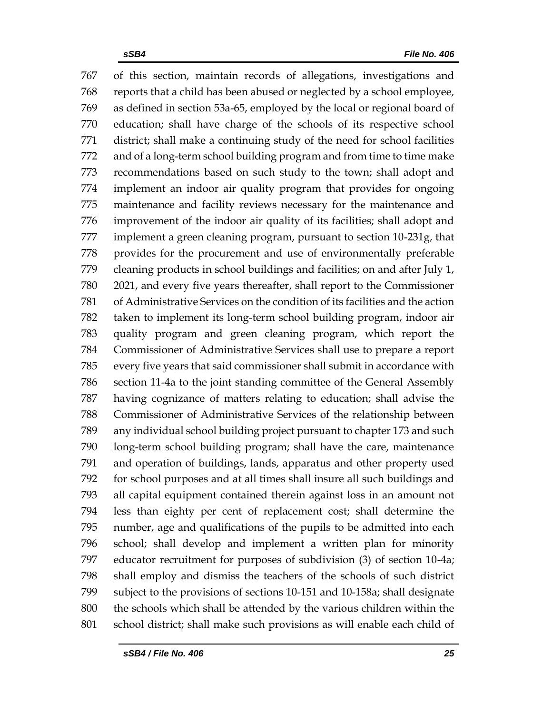of this section, maintain records of allegations, investigations and reports that a child has been abused or neglected by a school employee, as defined in section 53a-65, employed by the local or regional board of education; shall have charge of the schools of its respective school district; shall make a continuing study of the need for school facilities and of a long-term school building program and from time to time make recommendations based on such study to the town; shall adopt and implement an indoor air quality program that provides for ongoing maintenance and facility reviews necessary for the maintenance and improvement of the indoor air quality of its facilities; shall adopt and implement a green cleaning program, pursuant to section 10-231g, that provides for the procurement and use of environmentally preferable cleaning products in school buildings and facilities; on and after July 1, 2021, and every five years thereafter, shall report to the Commissioner of Administrative Services on the condition of its facilities and the action taken to implement its long-term school building program, indoor air quality program and green cleaning program, which report the Commissioner of Administrative Services shall use to prepare a report every five years that said commissioner shall submit in accordance with section 11-4a to the joint standing committee of the General Assembly having cognizance of matters relating to education; shall advise the Commissioner of Administrative Services of the relationship between any individual school building project pursuant to chapter 173 and such long-term school building program; shall have the care, maintenance and operation of buildings, lands, apparatus and other property used for school purposes and at all times shall insure all such buildings and all capital equipment contained therein against loss in an amount not less than eighty per cent of replacement cost; shall determine the number, age and qualifications of the pupils to be admitted into each school; shall develop and implement a written plan for minority educator recruitment for purposes of subdivision (3) of section 10-4a; shall employ and dismiss the teachers of the schools of such district subject to the provisions of sections 10-151 and 10-158a; shall designate the schools which shall be attended by the various children within the school district; shall make such provisions as will enable each child of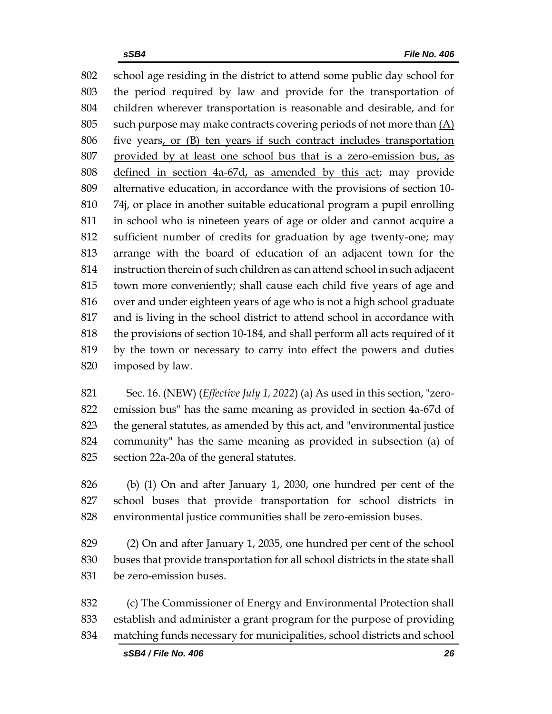school age residing in the district to attend some public day school for the period required by law and provide for the transportation of children wherever transportation is reasonable and desirable, and for such purpose may make contracts covering periods of not more than (A) five years, or (B) ten years if such contract includes transportation provided by at least one school bus that is a zero-emission bus, as defined in section 4a-67d, as amended by this act; may provide alternative education, in accordance with the provisions of section 10- 74j, or place in another suitable educational program a pupil enrolling in school who is nineteen years of age or older and cannot acquire a sufficient number of credits for graduation by age twenty-one; may arrange with the board of education of an adjacent town for the instruction therein of such children as can attend school in such adjacent town more conveniently; shall cause each child five years of age and 816 over and under eighteen years of age who is not a high school graduate and is living in the school district to attend school in accordance with the provisions of section 10-184, and shall perform all acts required of it by the town or necessary to carry into effect the powers and duties imposed by law.

 Sec. 16. (NEW) (*Effective July 1, 2022*) (a) As used in this section, "zero- emission bus" has the same meaning as provided in section 4a-67d of the general statutes, as amended by this act, and "environmental justice community" has the same meaning as provided in subsection (a) of section 22a-20a of the general statutes.

 (b) (1) On and after January 1, 2030, one hundred per cent of the school buses that provide transportation for school districts in environmental justice communities shall be zero-emission buses.

 (2) On and after January 1, 2035, one hundred per cent of the school buses that provide transportation for all school districts in the state shall be zero-emission buses.

 (c) The Commissioner of Energy and Environmental Protection shall establish and administer a grant program for the purpose of providing matching funds necessary for municipalities, school districts and school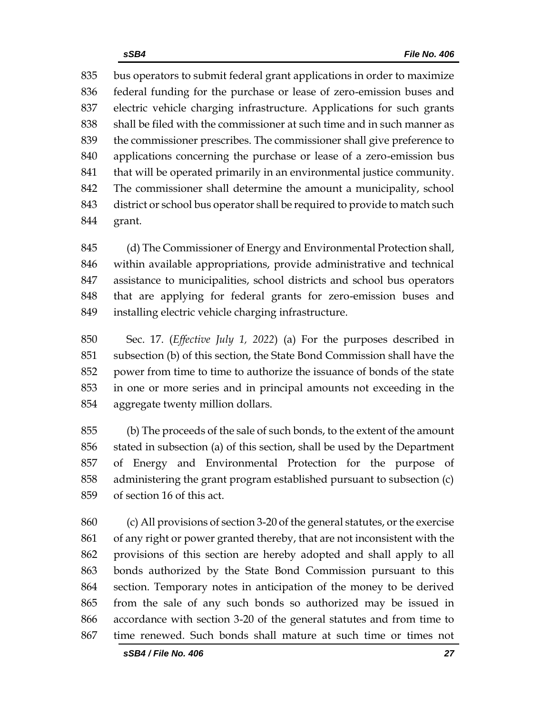bus operators to submit federal grant applications in order to maximize federal funding for the purchase or lease of zero-emission buses and electric vehicle charging infrastructure. Applications for such grants shall be filed with the commissioner at such time and in such manner as the commissioner prescribes. The commissioner shall give preference to applications concerning the purchase or lease of a zero-emission bus 841 that will be operated primarily in an environmental justice community. The commissioner shall determine the amount a municipality, school district or school bus operator shall be required to provide to match such grant.

 (d) The Commissioner of Energy and Environmental Protection shall, within available appropriations, provide administrative and technical assistance to municipalities, school districts and school bus operators that are applying for federal grants for zero-emission buses and installing electric vehicle charging infrastructure.

 Sec. 17. (*Effective July 1, 2022*) (a) For the purposes described in subsection (b) of this section, the State Bond Commission shall have the power from time to time to authorize the issuance of bonds of the state in one or more series and in principal amounts not exceeding in the aggregate twenty million dollars.

 (b) The proceeds of the sale of such bonds, to the extent of the amount stated in subsection (a) of this section, shall be used by the Department of Energy and Environmental Protection for the purpose of administering the grant program established pursuant to subsection (c) of section 16 of this act.

 (c) All provisions of section 3-20 of the general statutes, or the exercise of any right or power granted thereby, that are not inconsistent with the provisions of this section are hereby adopted and shall apply to all bonds authorized by the State Bond Commission pursuant to this section. Temporary notes in anticipation of the money to be derived from the sale of any such bonds so authorized may be issued in accordance with section 3-20 of the general statutes and from time to time renewed. Such bonds shall mature at such time or times not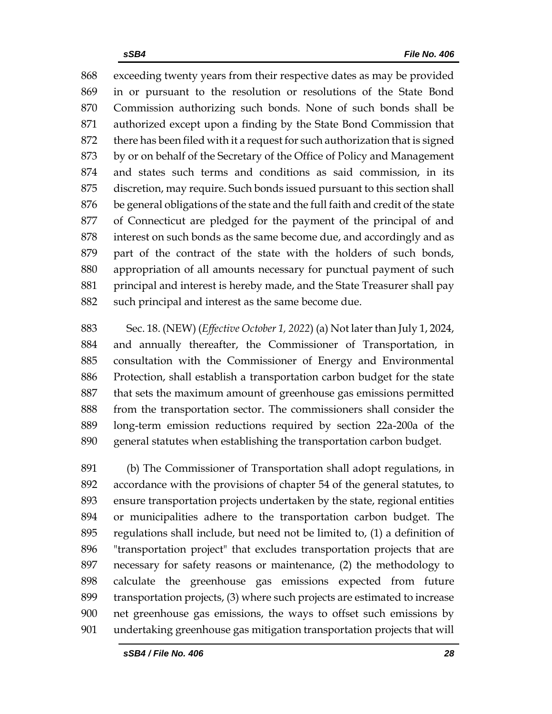exceeding twenty years from their respective dates as may be provided in or pursuant to the resolution or resolutions of the State Bond Commission authorizing such bonds. None of such bonds shall be authorized except upon a finding by the State Bond Commission that there has been filed with it a request for such authorization that is signed by or on behalf of the Secretary of the Office of Policy and Management and states such terms and conditions as said commission, in its discretion, may require. Such bonds issued pursuant to this section shall be general obligations of the state and the full faith and credit of the state of Connecticut are pledged for the payment of the principal of and interest on such bonds as the same become due, and accordingly and as part of the contract of the state with the holders of such bonds, appropriation of all amounts necessary for punctual payment of such 881 principal and interest is hereby made, and the State Treasurer shall pay 882 such principal and interest as the same become due.

 Sec. 18. (NEW) (*Effective October 1, 2022*) (a) Not later than July 1, 2024, and annually thereafter, the Commissioner of Transportation, in consultation with the Commissioner of Energy and Environmental Protection, shall establish a transportation carbon budget for the state that sets the maximum amount of greenhouse gas emissions permitted from the transportation sector. The commissioners shall consider the long-term emission reductions required by section 22a-200a of the general statutes when establishing the transportation carbon budget.

 (b) The Commissioner of Transportation shall adopt regulations, in accordance with the provisions of chapter 54 of the general statutes, to ensure transportation projects undertaken by the state, regional entities or municipalities adhere to the transportation carbon budget. The regulations shall include, but need not be limited to, (1) a definition of "transportation project" that excludes transportation projects that are necessary for safety reasons or maintenance, (2) the methodology to calculate the greenhouse gas emissions expected from future transportation projects, (3) where such projects are estimated to increase net greenhouse gas emissions, the ways to offset such emissions by undertaking greenhouse gas mitigation transportation projects that will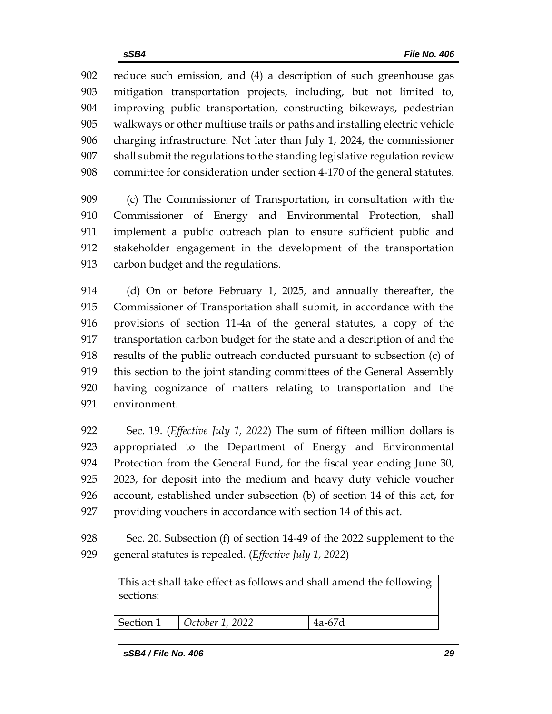reduce such emission, and (4) a description of such greenhouse gas mitigation transportation projects, including, but not limited to, improving public transportation, constructing bikeways, pedestrian walkways or other multiuse trails or paths and installing electric vehicle charging infrastructure. Not later than July 1, 2024, the commissioner shall submit the regulations to the standing legislative regulation review committee for consideration under section 4-170 of the general statutes.

 (c) The Commissioner of Transportation, in consultation with the Commissioner of Energy and Environmental Protection, shall implement a public outreach plan to ensure sufficient public and stakeholder engagement in the development of the transportation carbon budget and the regulations.

 (d) On or before February 1, 2025, and annually thereafter, the Commissioner of Transportation shall submit, in accordance with the provisions of section 11-4a of the general statutes, a copy of the transportation carbon budget for the state and a description of and the results of the public outreach conducted pursuant to subsection (c) of this section to the joint standing committees of the General Assembly having cognizance of matters relating to transportation and the environment.

 Sec. 19. (*Effective July 1, 2022*) The sum of fifteen million dollars is appropriated to the Department of Energy and Environmental Protection from the General Fund, for the fiscal year ending June 30, 2023, for deposit into the medium and heavy duty vehicle voucher account, established under subsection (b) of section 14 of this act, for providing vouchers in accordance with section 14 of this act.

 Sec. 20. Subsection (f) of section 14-49 of the 2022 supplement to the general statutes is repealed. (*Effective July 1, 2022*)

This act shall take effect as follows and shall amend the following sections:

Section 1 *October 1, 2022* 4a-67d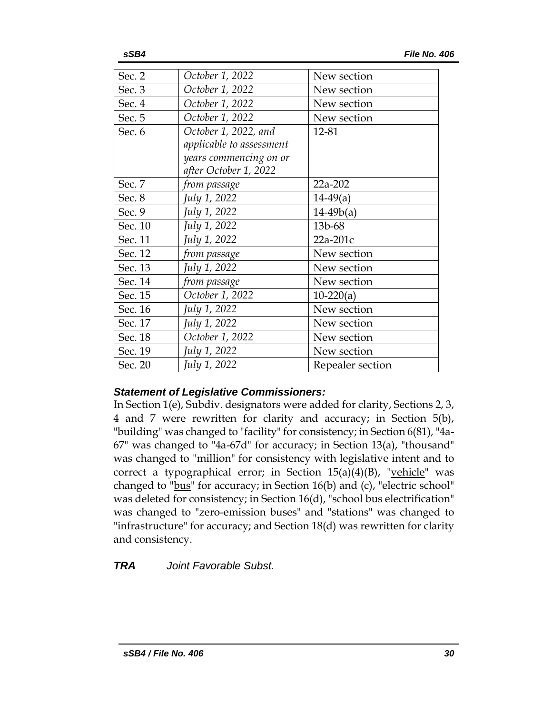| Sec. 2  | October 1, 2022          | New section      |
|---------|--------------------------|------------------|
| Sec. 3  | October 1, 2022          | New section      |
| Sec. 4  | October 1, 2022          | New section      |
| Sec. 5  | October 1, 2022          | New section      |
| Sec. 6  | October 1, 2022, and     | 12-81            |
|         | applicable to assessment |                  |
|         | years commencing on or   |                  |
|         | after October 1, 2022    |                  |
| Sec. 7  | from passage             | 22a-202          |
| Sec. 8  | July 1, 2022             | $14-49(a)$       |
| Sec. 9  | July 1, 2022             | $14-49b(a)$      |
| Sec. 10 | July 1, 2022             | 13b-68           |
| Sec. 11 | July 1, 2022             | 22a-201c         |
| Sec. 12 | from passage             | New section      |
| Sec. 13 | July 1, 2022             | New section      |
| Sec. 14 | from passage             | New section      |
| Sec. 15 | October 1, 2022          | $10-220(a)$      |
| Sec. 16 | July 1, 2022             | New section      |
| Sec. 17 | July 1, 2022             | New section      |
| Sec. 18 | October 1, 2022          | New section      |
| Sec. 19 | July 1, 2022             | New section      |
| Sec. 20 | July 1, 2022             | Repealer section |

## *Statement of Legislative Commissioners:*

In Section 1(e), Subdiv. designators were added for clarity, Sections 2, 3, 4 and 7 were rewritten for clarity and accuracy; in Section 5(b), "building" was changed to "facility" for consistency; in Section 6(81), "4a-67" was changed to "4a-67d" for accuracy; in Section 13(a), "thousand" was changed to "million" for consistency with legislative intent and to correct a typographical error; in Section  $15(a)(4)(B)$ , "vehicle" was changed to "bus" for accuracy; in Section 16(b) and (c), "electric school" was deleted for consistency; in Section 16(d), "school bus electrification" was changed to "zero-emission buses" and "stations" was changed to "infrastructure" for accuracy; and Section 18(d) was rewritten for clarity and consistency.

*TRA Joint Favorable Subst.*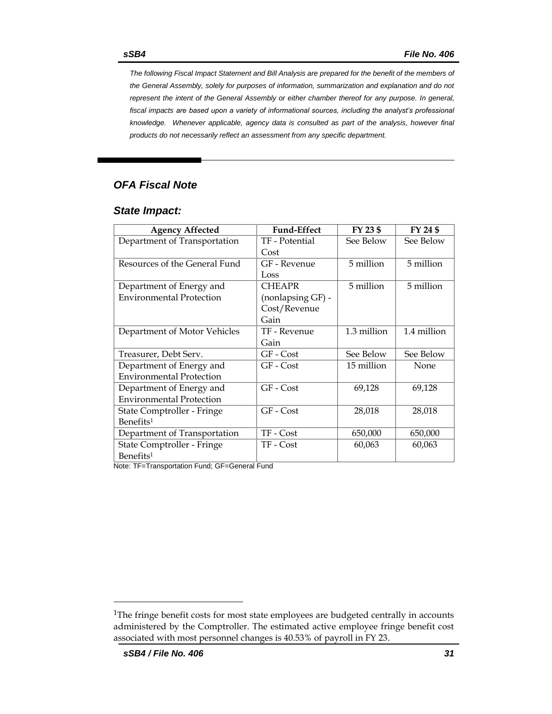*The following Fiscal Impact Statement and Bill Analysis are prepared for the benefit of the members of the General Assembly, solely for purposes of information, summarization and explanation and do not represent the intent of the General Assembly or either chamber thereof for any purpose. In general,*  fiscal impacts are based upon a variety of informational sources, including the analyst's professional *knowledge. Whenever applicable, agency data is consulted as part of the analysis, however final products do not necessarily reflect an assessment from any specific department.*

## *OFA Fiscal Note*

#### *State Impact:*

| <b>Agency Affected</b>          | <b>Fund-Effect</b> | FY 23 \$    | FY 24 \$    |
|---------------------------------|--------------------|-------------|-------------|
| Department of Transportation    | TF - Potential     | See Below   | See Below   |
|                                 | Cost               |             |             |
| Resources of the General Fund   | GF - Revenue       | 5 million   | 5 million   |
|                                 | Loss               |             |             |
| Department of Energy and        | <b>CHEAPR</b>      | 5 million   | 5 million   |
| <b>Environmental Protection</b> | (nonlapsing GF) -  |             |             |
|                                 | Cost/Revenue       |             |             |
|                                 | Gain               |             |             |
| Department of Motor Vehicles    | TF - Revenue       | 1.3 million | 1.4 million |
|                                 | Gain               |             |             |
| Treasurer, Debt Serv.           | GF - Cost          | See Below   | See Below   |
| Department of Energy and        | $GF - Cost$        | 15 million  | <b>None</b> |
| <b>Environmental Protection</b> |                    |             |             |
| Department of Energy and        | GF - Cost          | 69,128      | 69,128      |
| <b>Environmental Protection</b> |                    |             |             |
| State Comptroller - Fringe      | GF - Cost          | 28,018      | 28,018      |
| Benefits <sup>1</sup>           |                    |             |             |
| Department of Transportation    | TF - Cost          | 650,000     | 650,000     |
| State Comptroller - Fringe      | TF - Cost          | 60,063      | 60,063      |
| Benefits <sup>1</sup>           |                    |             |             |

<span id="page-30-0"></span>Note: TF=Transportation Fund; GF=General Fund

<sup>&</sup>lt;sup>1</sup>The fringe benefit costs for most state employees are budgeted centrally in accounts administered by the Comptroller. The estimated active employee fringe benefit cost associated with most personnel changes is 40.53% of payroll in FY 23.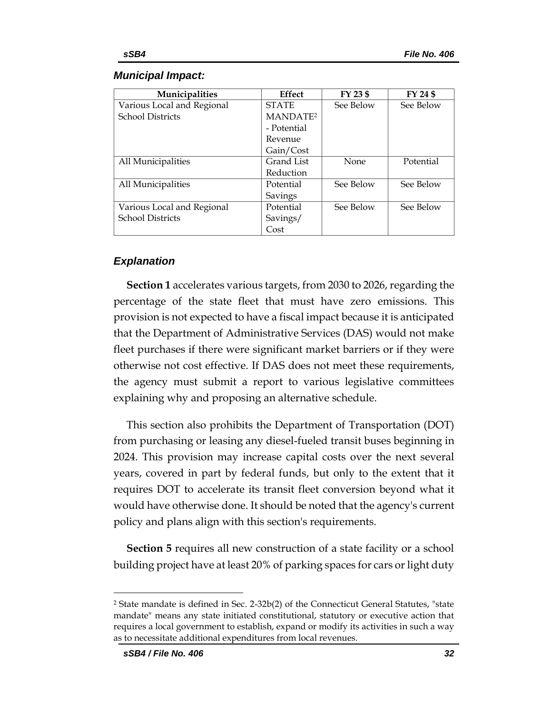#### *Municipal Impact:*

| Municipalities             | <b>Effect</b>        | FY 23 \$  | FY 24 \$  |
|----------------------------|----------------------|-----------|-----------|
| Various Local and Regional | <b>STATE</b>         | See Below | See Below |
| <b>School Districts</b>    | MANDATE <sup>2</sup> |           |           |
|                            | - Potential          |           |           |
|                            | Revenue              |           |           |
|                            | Gain/Cost            |           |           |
| All Municipalities         | Grand List           | None      | Potential |
|                            | Reduction            |           |           |
| All Municipalities         | Potential            | See Below | See Below |
|                            | Savings              |           |           |
| Various Local and Regional | Potential            | See Below | See Below |
| <b>School Districts</b>    | Savings/             |           |           |
|                            | Cost                 |           |           |

## *Explanation*

**Section 1** accelerates various targets, from 2030 to 2026, regarding the percentage of the state fleet that must have zero emissions. This provision is not expected to have a fiscal impact because it is anticipated that the Department of Administrative Services (DAS) would not make fleet purchases if there were significant market barriers or if they were otherwise not cost effective. If DAS does not meet these requirements, the agency must submit a report to various legislative committees explaining why and proposing an alternative schedule.

This section also prohibits the Department of Transportation (DOT) from purchasing or leasing any diesel-fueled transit buses beginning in 2024. This provision may increase capital costs over the next several years, covered in part by federal funds, but only to the extent that it requires DOT to accelerate its transit fleet conversion beyond what it would have otherwise done. It should be noted that the agency's current policy and plans align with this section's requirements.

**Section 5** requires all new construction of a state facility or a school building project have at least 20% of parking spaces for cars or light duty

<sup>2</sup> State mandate is defined in Sec. 2-32b(2) of the Connecticut General Statutes, "state mandate" means any state initiated constitutional, statutory or executive action that requires a local government to establish, expand or modify its activities in such a way as to necessitate additional expenditures from local revenues.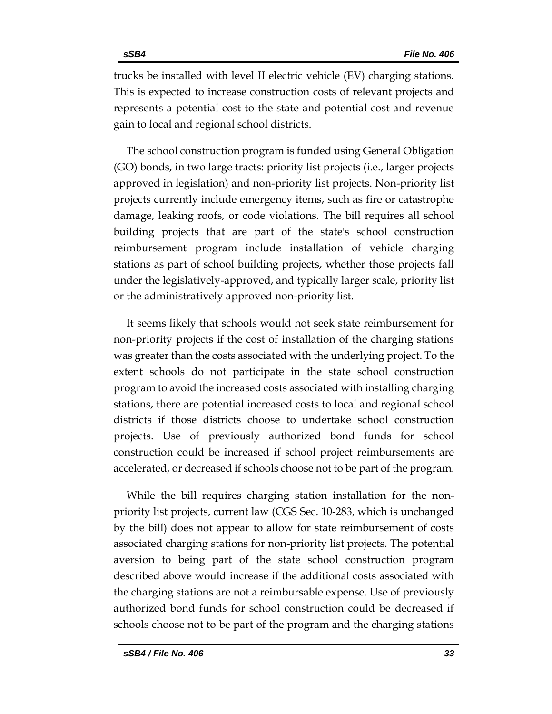trucks be installed with level II electric vehicle (EV) charging stations. This is expected to increase construction costs of relevant projects and represents a potential cost to the state and potential cost and revenue gain to local and regional school districts.

The school construction program is funded using General Obligation (GO) bonds, in two large tracts: priority list projects (i.e., larger projects approved in legislation) and non-priority list projects. Non-priority list projects currently include emergency items, such as fire or catastrophe damage, leaking roofs, or code violations. The bill requires all school building projects that are part of the state's school construction reimbursement program include installation of vehicle charging stations as part of school building projects, whether those projects fall under the legislatively-approved, and typically larger scale, priority list or the administratively approved non-priority list.

It seems likely that schools would not seek state reimbursement for non-priority projects if the cost of installation of the charging stations was greater than the costs associated with the underlying project. To the extent schools do not participate in the state school construction program to avoid the increased costs associated with installing charging stations, there are potential increased costs to local and regional school districts if those districts choose to undertake school construction projects. Use of previously authorized bond funds for school construction could be increased if school project reimbursements are accelerated, or decreased if schools choose not to be part of the program.

While the bill requires charging station installation for the nonpriority list projects, current law (CGS Sec. 10-283, which is unchanged by the bill) does not appear to allow for state reimbursement of costs associated charging stations for non-priority list projects. The potential aversion to being part of the state school construction program described above would increase if the additional costs associated with the charging stations are not a reimbursable expense. Use of previously authorized bond funds for school construction could be decreased if schools choose not to be part of the program and the charging stations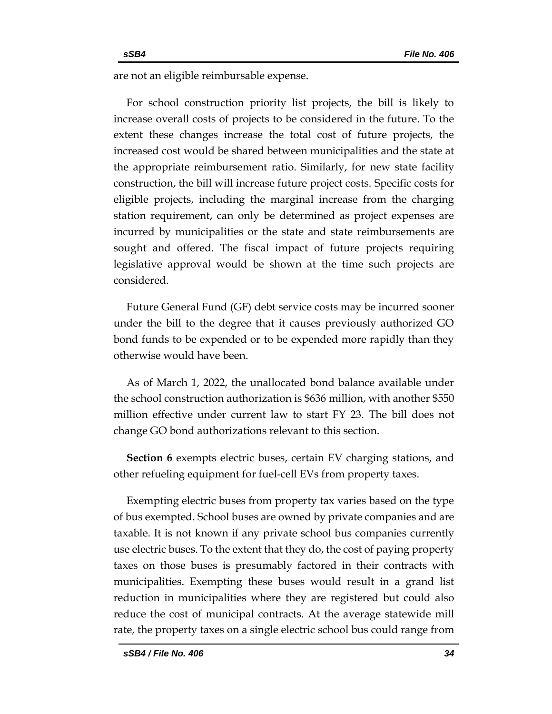are not an eligible reimbursable expense.

For school construction priority list projects, the bill is likely to increase overall costs of projects to be considered in the future. To the extent these changes increase the total cost of future projects, the increased cost would be shared between municipalities and the state at the appropriate reimbursement ratio. Similarly, for new state facility construction, the bill will increase future project costs. Specific costs for eligible projects, including the marginal increase from the charging station requirement, can only be determined as project expenses are incurred by municipalities or the state and state reimbursements are sought and offered. The fiscal impact of future projects requiring legislative approval would be shown at the time such projects are considered.

Future General Fund (GF) debt service costs may be incurred sooner under the bill to the degree that it causes previously authorized GO bond funds to be expended or to be expended more rapidly than they otherwise would have been.

As of March 1, 2022, the unallocated bond balance available under the school construction authorization is \$636 million, with another \$550 million effective under current law to start FY 23. The bill does not change GO bond authorizations relevant to this section.

**Section 6** exempts electric buses, certain EV charging stations, and other refueling equipment for fuel-cell EVs from property taxes.

Exempting electric buses from property tax varies based on the type of bus exempted. School buses are owned by private companies and are taxable. It is not known if any private school bus companies currently use electric buses. To the extent that they do, the cost of paying property taxes on those buses is presumably factored in their contracts with municipalities. Exempting these buses would result in a grand list reduction in municipalities where they are registered but could also reduce the cost of municipal contracts. At the average statewide mill rate, the property taxes on a single electric school bus could range from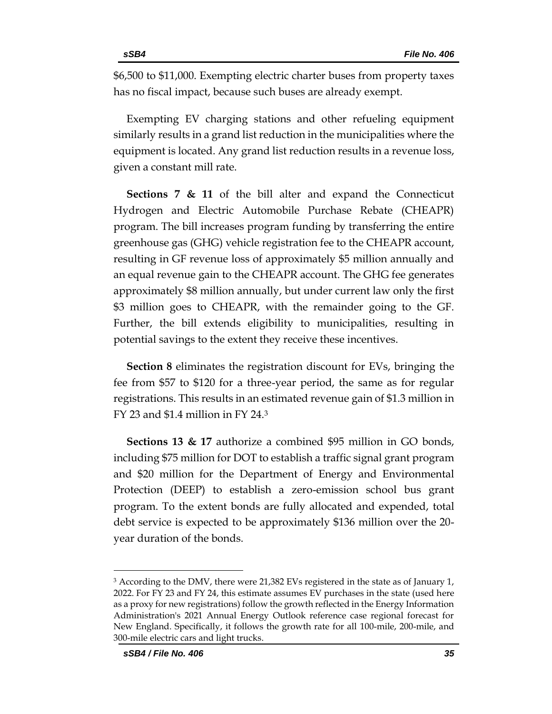\$6,500 to \$11,000. Exempting electric charter buses from property taxes has no fiscal impact, because such buses are already exempt.

Exempting EV charging stations and other refueling equipment similarly results in a grand list reduction in the municipalities where the equipment is located. Any grand list reduction results in a revenue loss, given a constant mill rate.

**Sections 7 & 11** of the bill alter and expand the Connecticut Hydrogen and Electric Automobile Purchase Rebate (CHEAPR) program. The bill increases program funding by transferring the entire greenhouse gas (GHG) vehicle registration fee to the CHEAPR account, resulting in GF revenue loss of approximately \$5 million annually and an equal revenue gain to the CHEAPR account. The GHG fee generates approximately \$8 million annually, but under current law only the first \$3 million goes to CHEAPR, with the remainder going to the GF. Further, the bill extends eligibility to municipalities, resulting in potential savings to the extent they receive these incentives.

**Section 8** eliminates the registration discount for EVs, bringing the fee from \$57 to \$120 for a three-year period, the same as for regular registrations. This results in an estimated revenue gain of \$1.3 million in FY 23 and \$1.4 million in FY 24. $3$ 

**Sections 13 & 17** authorize a combined \$95 million in GO bonds, including \$75 million for DOT to establish a traffic signal grant program and \$20 million for the Department of Energy and Environmental Protection (DEEP) to establish a zero-emission school bus grant program. To the extent bonds are fully allocated and expended, total debt service is expected to be approximately \$136 million over the 20 year duration of the bonds.

<sup>&</sup>lt;sup>3</sup> According to the DMV, there were 21,382 EVs registered in the state as of January 1, 2022. For FY 23 and FY 24, this estimate assumes EV purchases in the state (used here as a proxy for new registrations) follow the growth reflected in the Energy Information Administration's 2021 Annual Energy Outlook reference case regional forecast for New England. Specifically, it follows the growth rate for all 100-mile, 200-mile, and 300-mile electric cars and light trucks.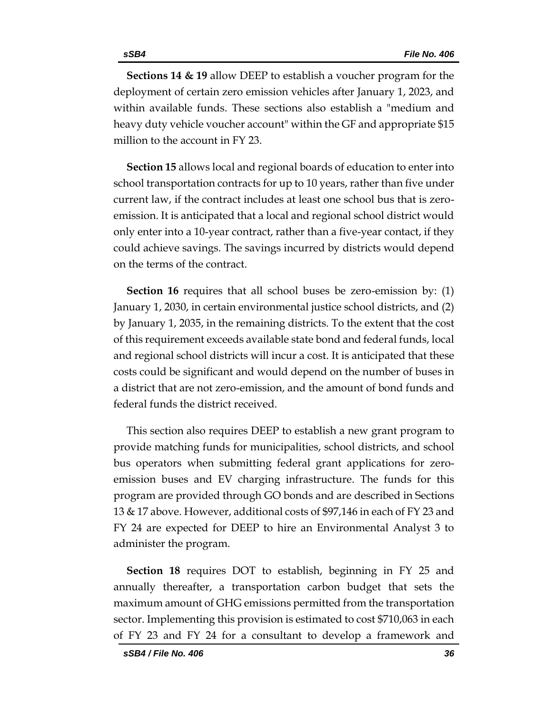**Sections 14 & 19** allow DEEP to establish a voucher program for the deployment of certain zero emission vehicles after January 1, 2023, and within available funds. These sections also establish a "medium and heavy duty vehicle voucher account" within the GF and appropriate \$15 million to the account in FY 23.

**Section 15** allows local and regional boards of education to enter into school transportation contracts for up to 10 years, rather than five under current law, if the contract includes at least one school bus that is zeroemission. It is anticipated that a local and regional school district would only enter into a 10-year contract, rather than a five-year contact, if they could achieve savings. The savings incurred by districts would depend on the terms of the contract.

**Section 16** requires that all school buses be zero-emission by: (1) January 1, 2030, in certain environmental justice school districts, and (2) by January 1, 2035, in the remaining districts. To the extent that the cost of this requirement exceeds available state bond and federal funds, local and regional school districts will incur a cost. It is anticipated that these costs could be significant and would depend on the number of buses in a district that are not zero-emission, and the amount of bond funds and federal funds the district received.

This section also requires DEEP to establish a new grant program to provide matching funds for municipalities, school districts, and school bus operators when submitting federal grant applications for zeroemission buses and EV charging infrastructure. The funds for this program are provided through GO bonds and are described in Sections 13 & 17 above. However, additional costs of \$97,146 in each of FY 23 and FY 24 are expected for DEEP to hire an Environmental Analyst 3 to administer the program.

**Section 18** requires DOT to establish, beginning in FY 25 and annually thereafter, a transportation carbon budget that sets the maximum amount of GHG emissions permitted from the transportation sector. Implementing this provision is estimated to cost \$710,063 in each of FY 23 and FY 24 for a consultant to develop a framework and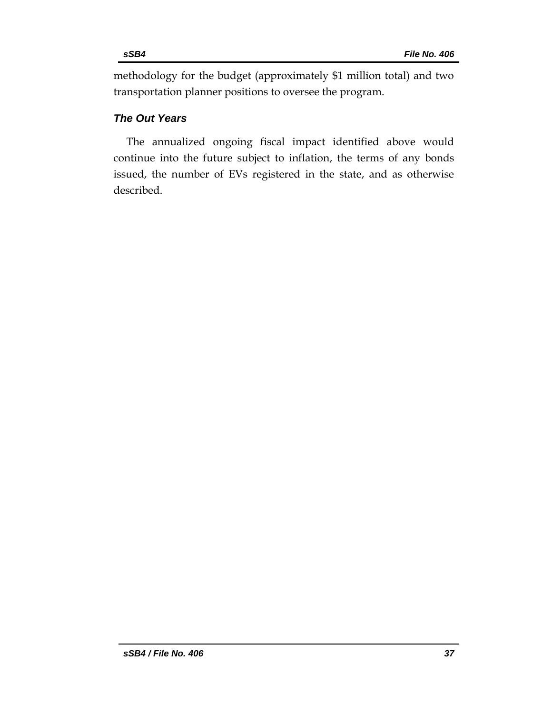methodology for the budget (approximately \$1 million total) and two transportation planner positions to oversee the program.

## *The Out Years*

The annualized ongoing fiscal impact identified above would continue into the future subject to inflation, the terms of any bonds issued, the number of EVs registered in the state, and as otherwise described.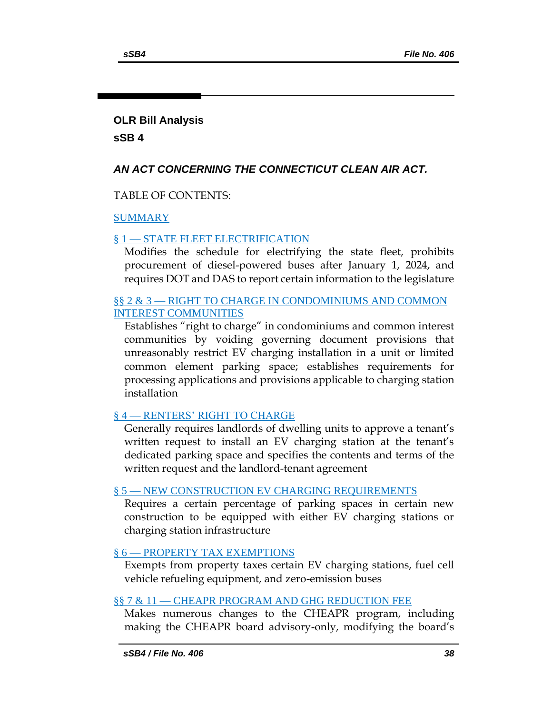## **OLR Bill Analysis**

**sSB 4**

## *AN ACT CONCERNING THE CONNECTICUT CLEAN AIR ACT.*

TABLE OF CONTENTS:

## [SUMMARY](#page-38-0)

## § 1 — [STATE FLEET ELECTRIFICATION](#page-39-0)

[Modifies the schedule for electrifying the state fleet, prohibits](#page-39-1)  [procurement of diesel-powered buses after January 1, 2024, and](#page-39-1)  [requires DOT and DAS to report certain information to the legislature](#page-39-1)

## §§ 2 & 3 — [RIGHT TO CHARGE IN CONDOMINIUMS AND COMMON](#page-41-0)  [INTEREST COMMUNITIES](#page-41-0)

[Establishes "right to charge" in condominiums and common interest](#page-41-1)  [communities by voiding governing document provisions that](#page-41-1)  [unreasonably restrict EV charging installation in a unit or limited](#page-41-1)  [common element parking space; establishes requirements for](#page-41-1)  [processing applications and provisions applicable to charging station](#page-41-1)  [installation](#page-41-1)

## § 4 — [RENTERS' RIGHT TO CHARGE](#page-44-0)

[Generally requires landlords of dwelling units to approve a tenant's](#page-44-1)  [written request to install an EV charging station at the tenant's](#page-44-1)  [dedicated parking space and specifies the contents and terms of the](#page-44-1)  [written request and the landlord-tenant agreement](#page-44-1)

## § 5 — [NEW CONSTRUCTION EV CHARGING REQUIREMENTS](#page-46-0)

[Requires a certain percentage of parking spaces in certain new](#page-46-1)  [construction to be equipped with either EV charging stations or](#page-46-1)  [charging station infrastructure](#page-46-1)

## § 6 — [PROPERTY TAX EXEMPTIONS](#page-47-0)

[Exempts from property taxes certain EV charging stations, fuel cell](#page-47-1)  [vehicle refueling equipment, and zero-emission buses](#page-47-1)

## §§ 7 & 11 — [CHEAPR PROGRAM AND GHG REDUCTION FEE](#page-47-2)

[Makes numerous changes to the CHEAPR program, including](#page-47-3)  [making the CHEAPR board advisory-](#page-47-3)only, modifying the board's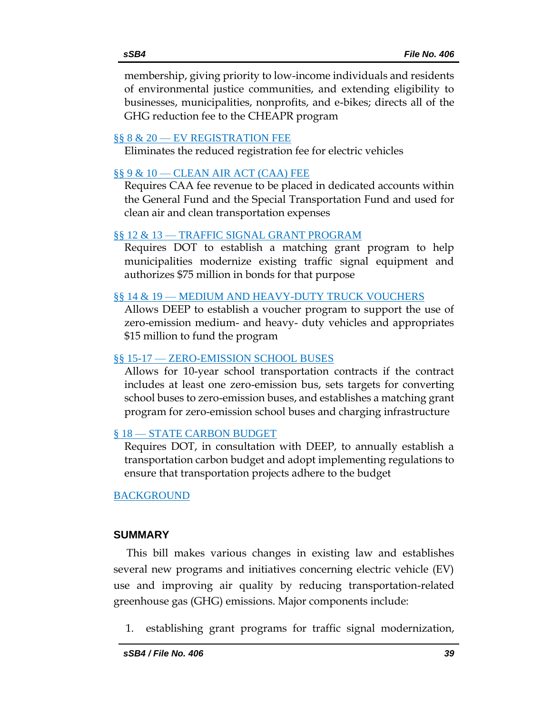[membership, giving priority to low-income individuals and residents](#page-47-3)  [of environmental justice communities, and extending eligibility to](#page-47-3)  [businesses, municipalities, nonprofits, and e-bikes;](#page-47-3) directs all of the [GHG reduction fee to the CHEAPR program](#page-47-3)

#### §§ 8 & 20 — [EV REGISTRATION FEE](#page-51-0)

[Eliminates the reduced registration fee for electric vehicles](#page-51-1)

## §§ 9 & 10 — [CLEAN AIR ACT \(CAA\) FEE](#page-51-2)

[Requires CAA fee revenue to be placed in dedicated accounts within](#page-51-3)  [the General Fund and the Special Transportation Fund](#page-51-3) and used for [clean air and clean transportation expenses](#page-51-3)

#### §§ 12 & 13 — [TRAFFIC SIGNAL GRANT PROGRAM](#page-52-0)

[Requires DOT to establish a matching grant program to help](#page-52-1)  [municipalities modernize existing traffic signal equipment and](#page-52-1)  [authorizes \\$75 million in bonds for that purpose](#page-52-1)

## §§ 14 & 19 — [MEDIUM AND HEAVY-DUTY TRUCK VOUCHERS](#page-52-2)

[Allows DEEP to establish a voucher program to support the use of](#page-52-3)  zero-emission medium- and heavy- [duty vehicles and appropriates](#page-52-3)  [\\$15 million to fund the program](#page-52-3)

#### §§ 15-17 — [ZERO-EMISSION SCHOOL BUSES](#page-53-0)

[Allows for 10-year school transportation contracts if the contract](#page-53-1)  [includes at least one zero-emission bus, sets targets for converting](#page-53-1)  [school buses to zero-emission buses, and establishes a matching grant](#page-53-1)  [program for zero-emission school buses and charging infrastructure](#page-53-1)

## § 18 — [STATE CARBON BUDGET](#page-54-0)

[Requires DOT, in consultation with DEEP, to annually establish a](#page-54-1)  [transportation carbon budget and adopt implementing regulations to](#page-54-1)  [ensure that transportation projects adhere to the budget](#page-54-1)

## [BACKGROUND](#page-55-0)

## <span id="page-38-0"></span>**SUMMARY**

This bill makes various changes in existing law and establishes several new programs and initiatives concerning electric vehicle (EV) use and improving air quality by reducing transportation-related greenhouse gas (GHG) emissions. Major components include:

1. establishing grant programs for traffic signal modernization,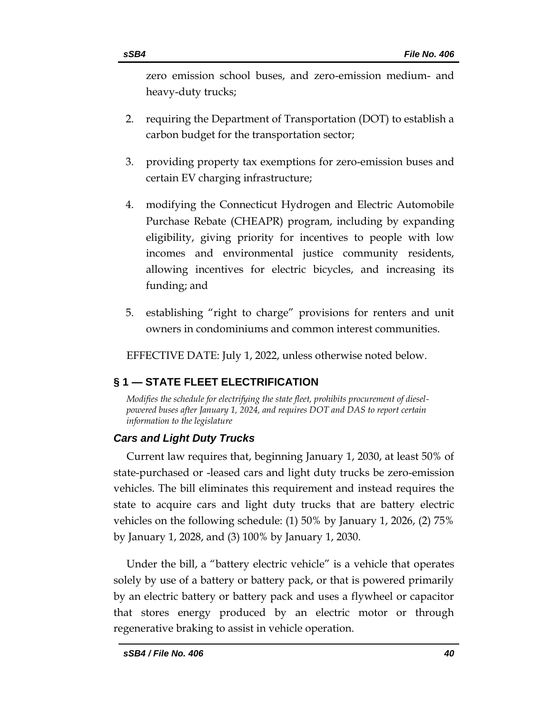zero emission school buses, and zero-emission medium- and heavy-duty trucks;

- 2. requiring the Department of Transportation (DOT) to establish a carbon budget for the transportation sector;
- 3. providing property tax exemptions for zero-emission buses and certain EV charging infrastructure;
- 4. modifying the Connecticut Hydrogen and Electric Automobile Purchase Rebate (CHEAPR) program, including by expanding eligibility, giving priority for incentives to people with low incomes and environmental justice community residents, allowing incentives for electric bicycles, and increasing its funding; and
- 5. establishing "right to charge" provisions for renters and unit owners in condominiums and common interest communities.

EFFECTIVE DATE: July 1, 2022, unless otherwise noted below.

## <span id="page-39-0"></span>**§ 1 — STATE FLEET ELECTRIFICATION**

<span id="page-39-1"></span>*Modifies the schedule for electrifying the state fleet, prohibits procurement of dieselpowered buses after January 1, 2024, and requires DOT and DAS to report certain information to the legislature*

## *Cars and Light Duty Trucks*

Current law requires that, beginning January 1, 2030, at least 50% of state-purchased or -leased cars and light duty trucks be zero-emission vehicles. The bill eliminates this requirement and instead requires the state to acquire cars and light duty trucks that are battery electric vehicles on the following schedule: (1) 50% by January 1, 2026, (2) 75% by January 1, 2028, and (3) 100% by January 1, 2030.

Under the bill, a "battery electric vehicle" is a vehicle that operates solely by use of a battery or battery pack, or that is powered primarily by an electric battery or battery pack and uses a flywheel or capacitor that stores energy produced by an electric motor or through regenerative braking to assist in vehicle operation.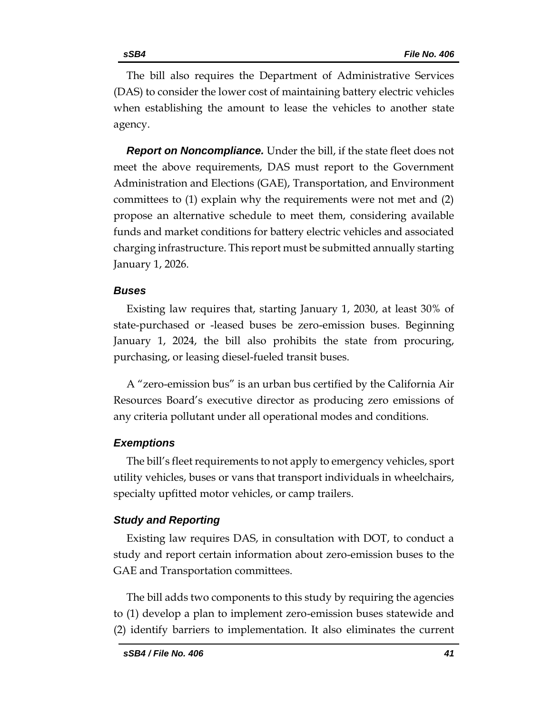The bill also requires the Department of Administrative Services (DAS) to consider the lower cost of maintaining battery electric vehicles when establishing the amount to lease the vehicles to another state agency.

*Report on Noncompliance.* Under the bill, if the state fleet does not meet the above requirements, DAS must report to the Government Administration and Elections (GAE), Transportation, and Environment committees to (1) explain why the requirements were not met and (2) propose an alternative schedule to meet them, considering available funds and market conditions for battery electric vehicles and associated charging infrastructure. This report must be submitted annually starting January 1, 2026.

## *Buses*

Existing law requires that, starting January 1, 2030, at least 30% of state-purchased or -leased buses be zero-emission buses. Beginning January 1, 2024, the bill also prohibits the state from procuring, purchasing, or leasing diesel-fueled transit buses.

A "zero-emission bus" is an urban bus certified by the California Air Resources Board's executive director as producing zero emissions of any criteria pollutant under all operational modes and conditions.

## *Exemptions*

The bill's fleet requirements to not apply to emergency vehicles, sport utility vehicles, buses or vans that transport individuals in wheelchairs, specialty upfitted motor vehicles, or camp trailers.

## *Study and Reporting*

Existing law requires DAS, in consultation with DOT, to conduct a study and report certain information about zero-emission buses to the GAE and Transportation committees.

The bill adds two components to this study by requiring the agencies to (1) develop a plan to implement zero-emission buses statewide and (2) identify barriers to implementation. It also eliminates the current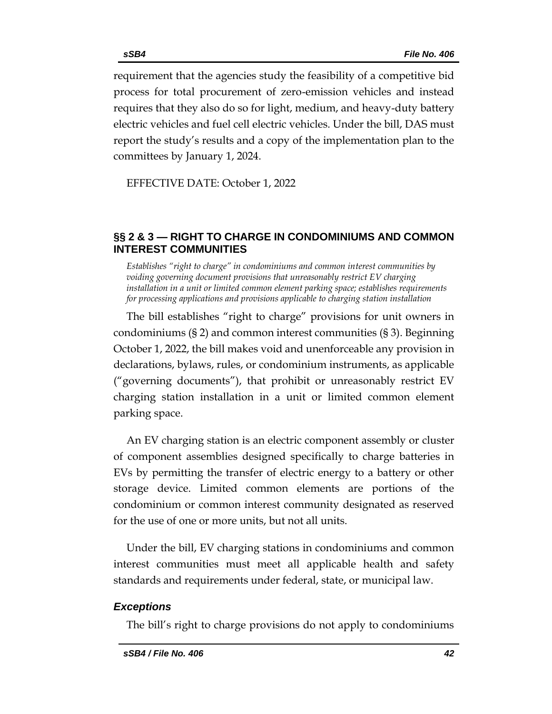requirement that the agencies study the feasibility of a competitive bid process for total procurement of zero-emission vehicles and instead requires that they also do so for light, medium, and heavy-duty battery electric vehicles and fuel cell electric vehicles. Under the bill, DAS must report the study's results and a copy of the implementation plan to the committees by January 1, 2024.

EFFECTIVE DATE: October 1, 2022

## <span id="page-41-0"></span>**§§ 2 & 3 — RIGHT TO CHARGE IN CONDOMINIUMS AND COMMON INTEREST COMMUNITIES**

<span id="page-41-1"></span>*Establishes "right to charge" in condominiums and common interest communities by voiding governing document provisions that unreasonably restrict EV charging installation in a unit or limited common element parking space; establishes requirements for processing applications and provisions applicable to charging station installation*

The bill establishes "right to charge" provisions for unit owners in condominiums (§ 2) and common interest communities (§ 3). Beginning October 1, 2022, the bill makes void and unenforceable any provision in declarations, bylaws, rules, or condominium instruments, as applicable ("governing documents"), that prohibit or unreasonably restrict EV charging station installation in a unit or limited common element parking space.

An EV charging station is an electric component assembly or cluster of component assemblies designed specifically to charge batteries in EVs by permitting the transfer of electric energy to a battery or other storage device. Limited common elements are portions of the condominium or common interest community designated as reserved for the use of one or more units, but not all units.

Under the bill, EV charging stations in condominiums and common interest communities must meet all applicable health and safety standards and requirements under federal, state, or municipal law.

#### *Exceptions*

The bill's right to charge provisions do not apply to condominiums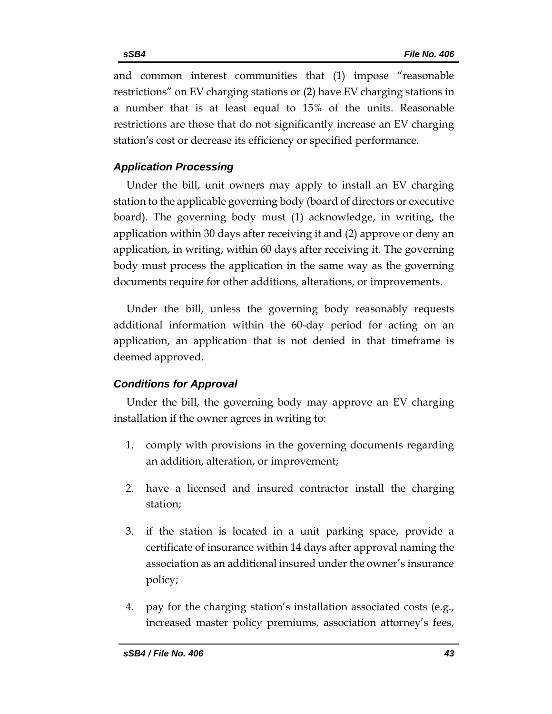and common interest communities that (1) impose "reasonable restrictions" on EV charging stations or (2) have EV charging stations in a number that is at least equal to 15% of the units. Reasonable restrictions are those that do not significantly increase an EV charging station's cost or decrease its efficiency or specified performance.

## *Application Processing*

Under the bill, unit owners may apply to install an EV charging station to the applicable governing body (board of directors or executive board). The governing body must (1) acknowledge, in writing, the application within 30 days after receiving it and (2) approve or deny an application, in writing, within 60 days after receiving it. The governing body must process the application in the same way as the governing documents require for other additions, alterations, or improvements.

Under the bill, unless the governing body reasonably requests additional information within the 60-day period for acting on an application, an application that is not denied in that timeframe is deemed approved.

## *Conditions for Approval*

Under the bill, the governing body may approve an EV charging installation if the owner agrees in writing to:

- 1. comply with provisions in the governing documents regarding an addition, alteration, or improvement;
- 2. have a licensed and insured contractor install the charging station;
- 3. if the station is located in a unit parking space, provide a certificate of insurance within 14 days after approval naming the association as an additional insured under the owner's insurance policy;
- 4. pay for the charging station's installation associated costs (e.g., increased master policy premiums, association attorney's fees,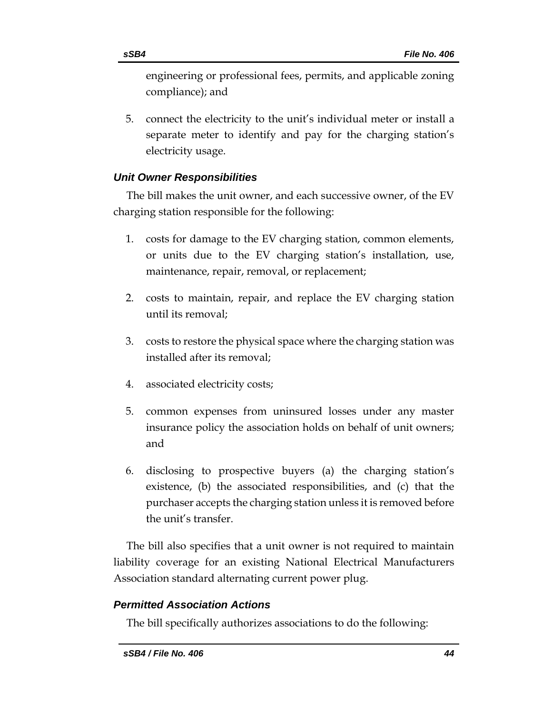engineering or professional fees, permits, and applicable zoning compliance); and

5. connect the electricity to the unit's individual meter or install a separate meter to identify and pay for the charging station's electricity usage.

## *Unit Owner Responsibilities*

The bill makes the unit owner, and each successive owner, of the EV charging station responsible for the following:

- 1. costs for damage to the EV charging station, common elements, or units due to the EV charging station's installation, use, maintenance, repair, removal, or replacement;
- 2. costs to maintain, repair, and replace the EV charging station until its removal;
- 3. costs to restore the physical space where the charging station was installed after its removal;
- 4. associated electricity costs;
- 5. common expenses from uninsured losses under any master insurance policy the association holds on behalf of unit owners; and
- 6. disclosing to prospective buyers (a) the charging station's existence, (b) the associated responsibilities, and (c) that the purchaser accepts the charging station unless it is removed before the unit's transfer.

The bill also specifies that a unit owner is not required to maintain liability coverage for an existing National Electrical Manufacturers Association standard alternating current power plug.

## *Permitted Association Actions*

The bill specifically authorizes associations to do the following: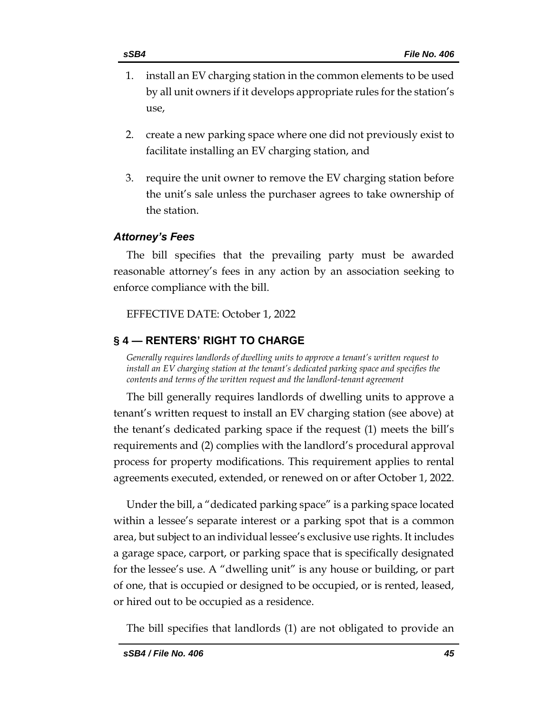- 1. install an EV charging station in the common elements to be used by all unit owners if it develops appropriate rules for the station's use,
- 2. create a new parking space where one did not previously exist to facilitate installing an EV charging station, and
- 3. require the unit owner to remove the EV charging station before the unit's sale unless the purchaser agrees to take ownership of the station.

## *Attorney's Fees*

The bill specifies that the prevailing party must be awarded reasonable attorney's fees in any action by an association seeking to enforce compliance with the bill.

EFFECTIVE DATE: October 1, 2022

## <span id="page-44-0"></span>**§ 4 — RENTERS' RIGHT TO CHARGE**

<span id="page-44-1"></span>*Generally requires landlords of dwelling units to approve a tenant's written request to install an EV charging station at the tenant's dedicated parking space and specifies the contents and terms of the written request and the landlord-tenant agreement*

The bill generally requires landlords of dwelling units to approve a tenant's written request to install an EV charging station (see above) at the tenant's dedicated parking space if the request (1) meets the bill's requirements and (2) complies with the landlord's procedural approval process for property modifications. This requirement applies to rental agreements executed, extended, or renewed on or after October 1, 2022.

Under the bill, a "dedicated parking space" is a parking space located within a lessee's separate interest or a parking spot that is a common area, but subject to an individual lessee's exclusive use rights. It includes a garage space, carport, or parking space that is specifically designated for the lessee's use. A "dwelling unit" is any house or building, or part of one, that is occupied or designed to be occupied, or is rented, leased, or hired out to be occupied as a residence.

The bill specifies that landlords (1) are not obligated to provide an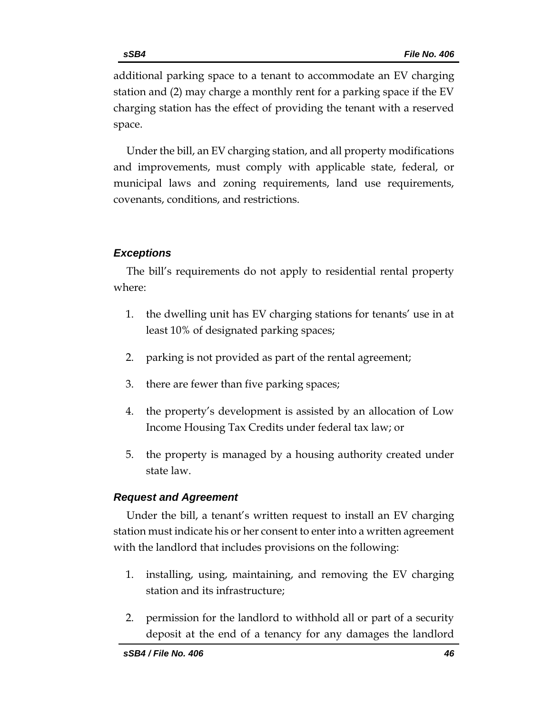additional parking space to a tenant to accommodate an EV charging station and (2) may charge a monthly rent for a parking space if the EV charging station has the effect of providing the tenant with a reserved space.

Under the bill, an EV charging station, and all property modifications and improvements, must comply with applicable state, federal, or municipal laws and zoning requirements, land use requirements, covenants, conditions, and restrictions.

## *Exceptions*

The bill's requirements do not apply to residential rental property where:

- 1. the dwelling unit has EV charging stations for tenants' use in at least 10% of designated parking spaces;
- 2. parking is not provided as part of the rental agreement;
- 3. there are fewer than five parking spaces;
- 4. the property's development is assisted by an allocation of Low Income Housing Tax Credits under federal tax law; or
- 5. the property is managed by a housing authority created under state law.

## *Request and Agreement*

Under the bill, a tenant's written request to install an EV charging station must indicate his or her consent to enter into a written agreement with the landlord that includes provisions on the following:

- 1. installing, using, maintaining, and removing the EV charging station and its infrastructure;
- 2. permission for the landlord to withhold all or part of a security deposit at the end of a tenancy for any damages the landlord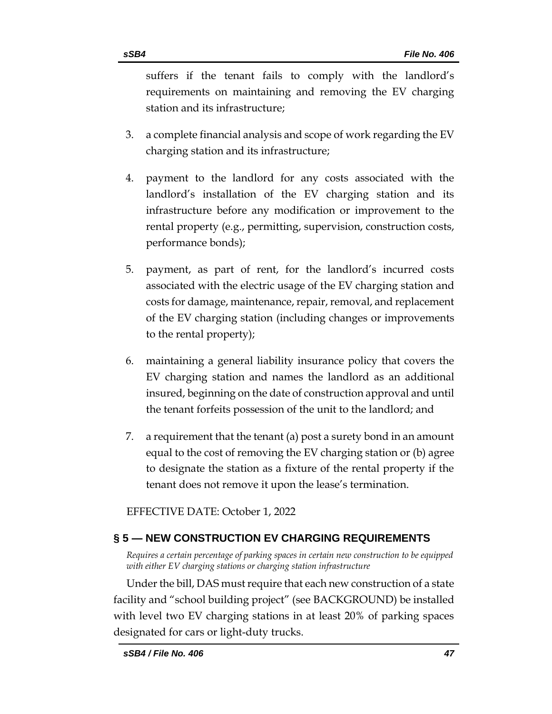suffers if the tenant fails to comply with the landlord's requirements on maintaining and removing the EV charging station and its infrastructure;

- 3. a complete financial analysis and scope of work regarding the EV charging station and its infrastructure;
- 4. payment to the landlord for any costs associated with the landlord's installation of the EV charging station and its infrastructure before any modification or improvement to the rental property (e.g., permitting, supervision, construction costs, performance bonds);
- 5. payment, as part of rent, for the landlord's incurred costs associated with the electric usage of the EV charging station and costs for damage, maintenance, repair, removal, and replacement of the EV charging station (including changes or improvements to the rental property);
- 6. maintaining a general liability insurance policy that covers the EV charging station and names the landlord as an additional insured, beginning on the date of construction approval and until the tenant forfeits possession of the unit to the landlord; and
- 7. a requirement that the tenant (a) post a surety bond in an amount equal to the cost of removing the EV charging station or (b) agree to designate the station as a fixture of the rental property if the tenant does not remove it upon the lease's termination.

EFFECTIVE DATE: October 1, 2022

## <span id="page-46-0"></span>**§ 5 — NEW CONSTRUCTION EV CHARGING REQUIREMENTS**

<span id="page-46-1"></span>*Requires a certain percentage of parking spaces in certain new construction to be equipped with either EV charging stations or charging station infrastructure*

Under the bill, DAS must require that each new construction of a state facility and "school building project" (see BACKGROUND) be installed with level two EV charging stations in at least 20% of parking spaces designated for cars or light-duty trucks.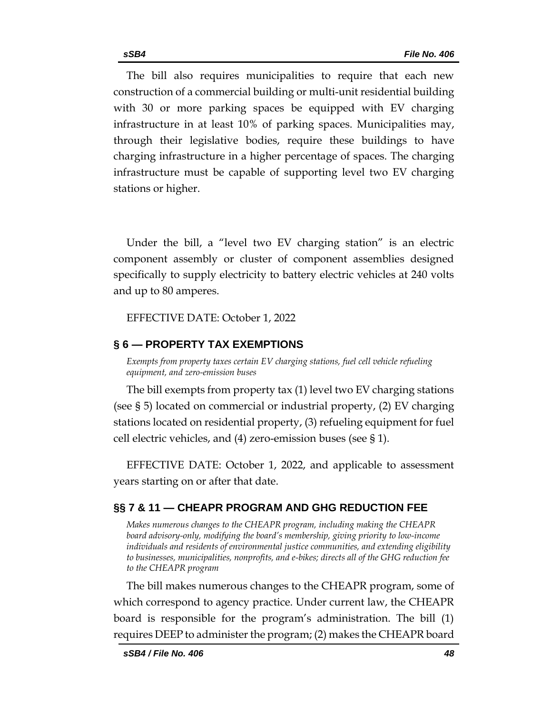The bill also requires municipalities to require that each new construction of a commercial building or multi-unit residential building with 30 or more parking spaces be equipped with EV charging infrastructure in at least 10% of parking spaces. Municipalities may, through their legislative bodies, require these buildings to have charging infrastructure in a higher percentage of spaces. The charging infrastructure must be capable of supporting level two EV charging stations or higher.

Under the bill, a "level two EV charging station" is an electric component assembly or cluster of component assemblies designed specifically to supply electricity to battery electric vehicles at 240 volts and up to 80 amperes.

EFFECTIVE DATE: October 1, 2022

#### <span id="page-47-0"></span>**§ 6 — PROPERTY TAX EXEMPTIONS**

<span id="page-47-1"></span>*Exempts from property taxes certain EV charging stations, fuel cell vehicle refueling equipment, and zero-emission buses*

The bill exempts from property tax (1) level two EV charging stations (see § 5) located on commercial or industrial property, (2) EV charging stations located on residential property, (3) refueling equipment for fuel cell electric vehicles, and (4) zero-emission buses (see § 1).

EFFECTIVE DATE: October 1, 2022, and applicable to assessment years starting on or after that date.

## <span id="page-47-2"></span>**§§ 7 & 11 — CHEAPR PROGRAM AND GHG REDUCTION FEE**

<span id="page-47-3"></span>*Makes numerous changes to the CHEAPR program, including making the CHEAPR board advisory-only, modifying the board's membership, giving priority to low-income individuals and residents of environmental justice communities, and extending eligibility to businesses, municipalities, nonprofits, and e-bikes; directs all of the GHG reduction fee to the CHEAPR program*

The bill makes numerous changes to the CHEAPR program, some of which correspond to agency practice. Under current law, the CHEAPR board is responsible for the program's administration. The bill (1) requires DEEP to administer the program; (2) makes the CHEAPR board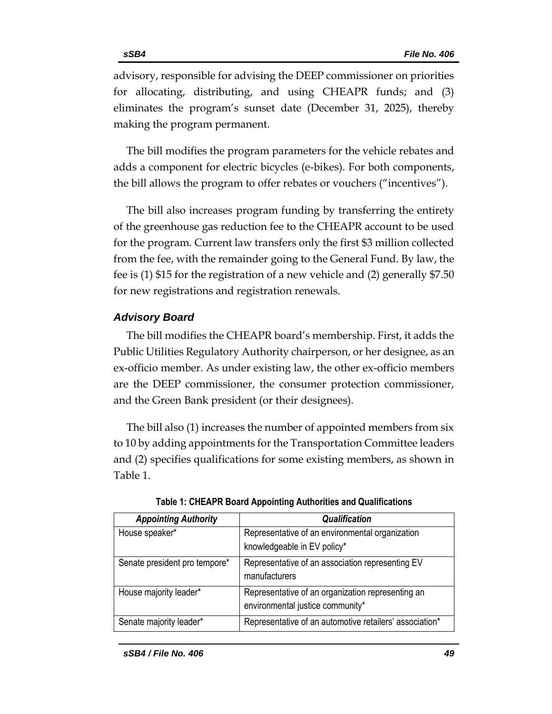advisory, responsible for advising the DEEP commissioner on priorities for allocating, distributing, and using CHEAPR funds; and (3) eliminates the program's sunset date (December 31, 2025), thereby making the program permanent.

The bill modifies the program parameters for the vehicle rebates and adds a component for electric bicycles (e-bikes). For both components, the bill allows the program to offer rebates or vouchers ("incentives").

The bill also increases program funding by transferring the entirety of the greenhouse gas reduction fee to the CHEAPR account to be used for the program. Current law transfers only the first \$3 million collected from the fee, with the remainder going to the General Fund. By law, the fee is (1) \$15 for the registration of a new vehicle and (2) generally \$7.50 for new registrations and registration renewals.

#### *Advisory Board*

The bill modifies the CHEAPR board's membership. First, it adds the Public Utilities Regulatory Authority chairperson, or her designee, as an ex-officio member. As under existing law, the other ex-officio members are the DEEP commissioner, the consumer protection commissioner, and the Green Bank president (or their designees).

The bill also (1) increases the number of appointed members from six to 10 by adding appointments for the Transportation Committee leaders and (2) specifies qualifications for some existing members, as shown in Table 1.

| <b>Appointing Authority</b>   | <b>Qualification</b>                                    |
|-------------------------------|---------------------------------------------------------|
| House speaker*                | Representative of an environmental organization         |
|                               | knowledgeable in EV policy*                             |
| Senate president pro tempore* | Representative of an association representing EV        |
|                               | manufacturers                                           |
| House majority leader*        | Representative of an organization representing an       |
|                               | environmental justice community*                        |
| Senate majority leader*       | Representative of an automotive retailers' association* |

| Table 1: CHEAPR Board Appointing Authorities and Qualifications |  |
|-----------------------------------------------------------------|--|
|-----------------------------------------------------------------|--|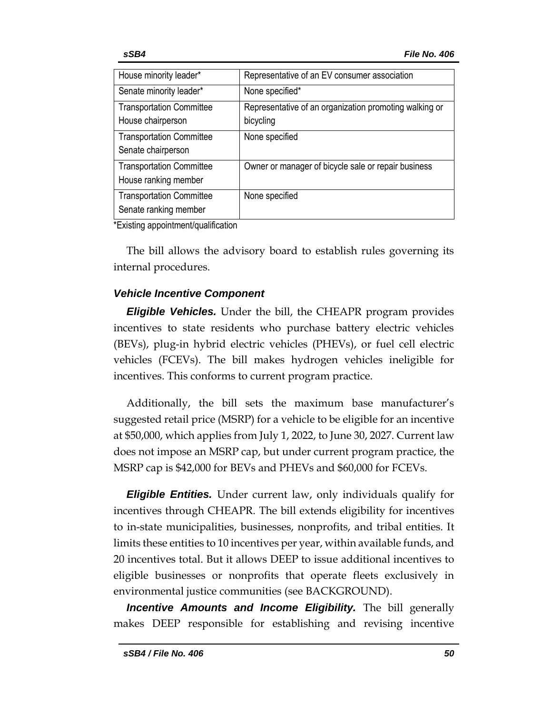| House minority leader*                                   | Representative of an EV consumer association                        |
|----------------------------------------------------------|---------------------------------------------------------------------|
| Senate minority leader*                                  | None specified*                                                     |
| <b>Transportation Committee</b><br>House chairperson     | Representative of an organization promoting walking or<br>bicycling |
| <b>Transportation Committee</b><br>Senate chairperson    | None specified                                                      |
| <b>Transportation Committee</b><br>House ranking member  | Owner or manager of bicycle sale or repair business                 |
| <b>Transportation Committee</b><br>Senate ranking member | None specified                                                      |

\*Existing appointment/qualification

The bill allows the advisory board to establish rules governing its internal procedures.

## *Vehicle Incentive Component*

*Eligible Vehicles.* Under the bill, the CHEAPR program provides incentives to state residents who purchase battery electric vehicles (BEVs), plug-in hybrid electric vehicles (PHEVs), or fuel cell electric vehicles (FCEVs). The bill makes hydrogen vehicles ineligible for incentives. This conforms to current program practice.

Additionally, the bill sets the maximum base manufacturer's suggested retail price (MSRP) for a vehicle to be eligible for an incentive at \$50,000, which applies from July 1, 2022, to June 30, 2027. Current law does not impose an MSRP cap, but under current program practice, the MSRP cap is \$42,000 for BEVs and PHEVs and \$60,000 for FCEVs.

*Eligible Entities.* Under current law, only individuals qualify for incentives through CHEAPR. The bill extends eligibility for incentives to in-state municipalities, businesses, nonprofits, and tribal entities. It limits these entities to 10 incentives per year, within available funds, and 20 incentives total. But it allows DEEP to issue additional incentives to eligible businesses or nonprofits that operate fleets exclusively in environmental justice communities (see BACKGROUND).

*Incentive Amounts and Income Eligibility.* The bill generally makes DEEP responsible for establishing and revising incentive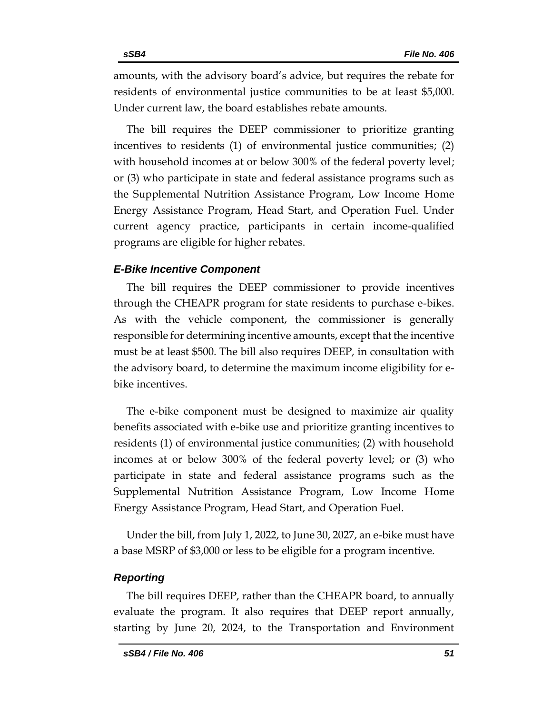amounts, with the advisory board's advice, but requires the rebate for residents of environmental justice communities to be at least \$5,000. Under current law, the board establishes rebate amounts.

The bill requires the DEEP commissioner to prioritize granting incentives to residents (1) of environmental justice communities; (2) with household incomes at or below 300% of the federal poverty level; or (3) who participate in state and federal assistance programs such as the Supplemental Nutrition Assistance Program, Low Income Home Energy Assistance Program, Head Start, and Operation Fuel. Under current agency practice, participants in certain income-qualified programs are eligible for higher rebates.

#### *E-Bike Incentive Component*

The bill requires the DEEP commissioner to provide incentives through the CHEAPR program for state residents to purchase e-bikes. As with the vehicle component, the commissioner is generally responsible for determining incentive amounts, except that the incentive must be at least \$500. The bill also requires DEEP, in consultation with the advisory board, to determine the maximum income eligibility for ebike incentives.

The e-bike component must be designed to maximize air quality benefits associated with e-bike use and prioritize granting incentives to residents (1) of environmental justice communities; (2) with household incomes at or below 300% of the federal poverty level; or (3) who participate in state and federal assistance programs such as the Supplemental Nutrition Assistance Program, Low Income Home Energy Assistance Program, Head Start, and Operation Fuel.

Under the bill, from July 1, 2022, to June 30, 2027, an e-bike must have a base MSRP of \$3,000 or less to be eligible for a program incentive.

#### *Reporting*

The bill requires DEEP, rather than the CHEAPR board, to annually evaluate the program. It also requires that DEEP report annually, starting by June 20, 2024, to the Transportation and Environment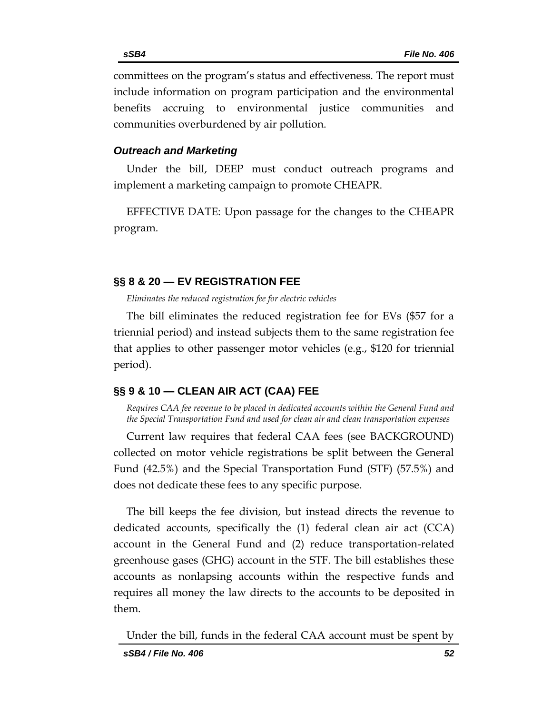committees on the program's status and effectiveness. The report must include information on program participation and the environmental benefits accruing to environmental justice communities and communities overburdened by air pollution.

#### *Outreach and Marketing*

Under the bill, DEEP must conduct outreach programs and implement a marketing campaign to promote CHEAPR.

EFFECTIVE DATE: Upon passage for the changes to the CHEAPR program.

#### <span id="page-51-0"></span>**§§ 8 & 20 — EV REGISTRATION FEE**

<span id="page-51-1"></span>*Eliminates the reduced registration fee for electric vehicles*

The bill eliminates the reduced registration fee for EVs (\$57 for a triennial period) and instead subjects them to the same registration fee that applies to other passenger motor vehicles (e.g., \$120 for triennial period).

## <span id="page-51-2"></span>**§§ 9 & 10 — CLEAN AIR ACT (CAA) FEE**

<span id="page-51-3"></span>*Requires CAA fee revenue to be placed in dedicated accounts within the General Fund and the Special Transportation Fund and used for clean air and clean transportation expenses*

Current law requires that federal CAA fees (see BACKGROUND) collected on motor vehicle registrations be split between the General Fund (42.5%) and the Special Transportation Fund (STF) (57.5%) and does not dedicate these fees to any specific purpose.

The bill keeps the fee division, but instead directs the revenue to dedicated accounts, specifically the (1) federal clean air act (CCA) account in the General Fund and (2) reduce transportation-related greenhouse gases (GHG) account in the STF. The bill establishes these accounts as nonlapsing accounts within the respective funds and requires all money the law directs to the accounts to be deposited in them.

Under the bill, funds in the federal CAA account must be spent by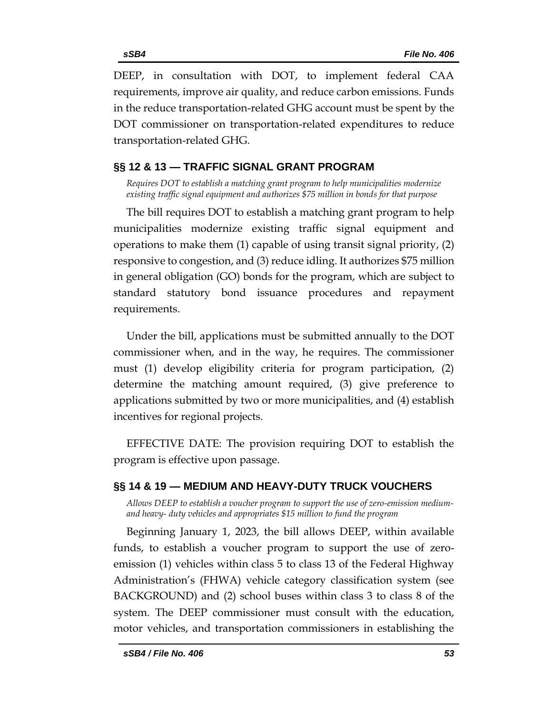DEEP, in consultation with DOT, to implement federal CAA requirements, improve air quality, and reduce carbon emissions. Funds in the reduce transportation-related GHG account must be spent by the DOT commissioner on transportation-related expenditures to reduce transportation-related GHG.

## <span id="page-52-0"></span>**§§ 12 & 13 — TRAFFIC SIGNAL GRANT PROGRAM**

<span id="page-52-1"></span>*Requires DOT to establish a matching grant program to help municipalities modernize existing traffic signal equipment and authorizes \$75 million in bonds for that purpose*

The bill requires DOT to establish a matching grant program to help municipalities modernize existing traffic signal equipment and operations to make them (1) capable of using transit signal priority, (2) responsive to congestion, and (3) reduce idling. It authorizes \$75 million in general obligation (GO) bonds for the program, which are subject to standard statutory bond issuance procedures and repayment requirements.

Under the bill, applications must be submitted annually to the DOT commissioner when, and in the way, he requires. The commissioner must (1) develop eligibility criteria for program participation, (2) determine the matching amount required, (3) give preference to applications submitted by two or more municipalities, and (4) establish incentives for regional projects.

EFFECTIVE DATE: The provision requiring DOT to establish the program is effective upon passage.

## <span id="page-52-2"></span>**§§ 14 & 19 — MEDIUM AND HEAVY-DUTY TRUCK VOUCHERS**

<span id="page-52-3"></span>*Allows DEEP to establish a voucher program to support the use of zero-emission mediumand heavy- duty vehicles and appropriates \$15 million to fund the program*

Beginning January 1, 2023, the bill allows DEEP, within available funds, to establish a voucher program to support the use of zeroemission (1) vehicles within class 5 to class 13 of the Federal Highway Administration's (FHWA) vehicle category classification system (see BACKGROUND) and (2) school buses within class 3 to class 8 of the system. The DEEP commissioner must consult with the education, motor vehicles, and transportation commissioners in establishing the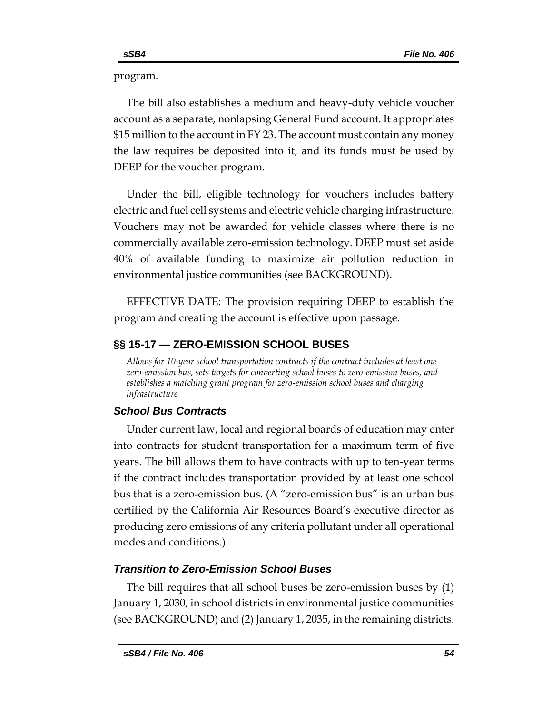program.

The bill also establishes a medium and heavy-duty vehicle voucher account as a separate, nonlapsing General Fund account. It appropriates \$15 million to the account in FY 23. The account must contain any money the law requires be deposited into it, and its funds must be used by DEEP for the voucher program.

Under the bill, eligible technology for vouchers includes battery electric and fuel cell systems and electric vehicle charging infrastructure. Vouchers may not be awarded for vehicle classes where there is no commercially available zero-emission technology. DEEP must set aside 40% of available funding to maximize air pollution reduction in environmental justice communities (see BACKGROUND).

EFFECTIVE DATE: The provision requiring DEEP to establish the program and creating the account is effective upon passage.

## <span id="page-53-0"></span>**§§ 15-17 — ZERO-EMISSION SCHOOL BUSES**

<span id="page-53-1"></span>*Allows for 10-year school transportation contracts if the contract includes at least one zero-emission bus, sets targets for converting school buses to zero-emission buses, and establishes a matching grant program for zero-emission school buses and charging infrastructure*

## *School Bus Contracts*

Under current law, local and regional boards of education may enter into contracts for student transportation for a maximum term of five years. The bill allows them to have contracts with up to ten-year terms if the contract includes transportation provided by at least one school bus that is a zero-emission bus. (A "zero-emission bus" is an urban bus certified by the California Air Resources Board's executive director as producing zero emissions of any criteria pollutant under all operational modes and conditions.)

## *Transition to Zero-Emission School Buses*

The bill requires that all school buses be zero-emission buses by (1) January 1, 2030, in school districts in environmental justice communities (see BACKGROUND) and (2) January 1, 2035, in the remaining districts.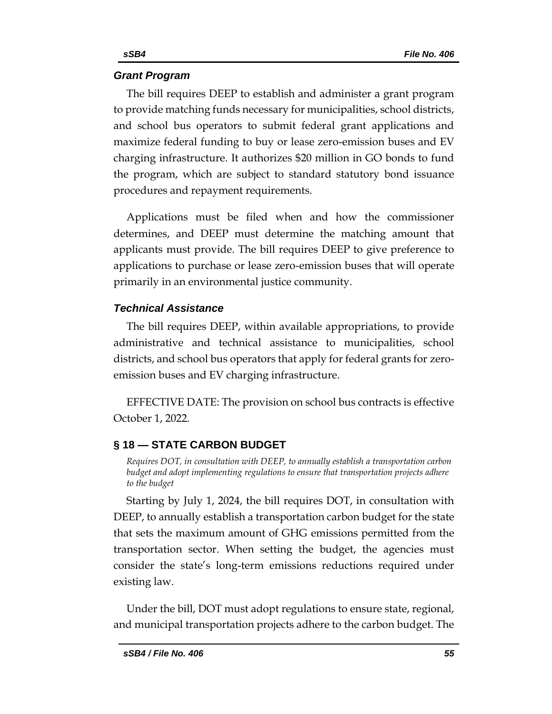## *Grant Program*

The bill requires DEEP to establish and administer a grant program to provide matching funds necessary for municipalities, school districts, and school bus operators to submit federal grant applications and maximize federal funding to buy or lease zero-emission buses and EV charging infrastructure. It authorizes \$20 million in GO bonds to fund the program, which are subject to standard statutory bond issuance procedures and repayment requirements.

Applications must be filed when and how the commissioner determines, and DEEP must determine the matching amount that applicants must provide. The bill requires DEEP to give preference to applications to purchase or lease zero-emission buses that will operate primarily in an environmental justice community.

## *Technical Assistance*

The bill requires DEEP, within available appropriations, to provide administrative and technical assistance to municipalities, school districts, and school bus operators that apply for federal grants for zeroemission buses and EV charging infrastructure.

EFFECTIVE DATE: The provision on school bus contracts is effective October 1, 2022.

## <span id="page-54-0"></span>**§ 18 — STATE CARBON BUDGET**

<span id="page-54-1"></span>*Requires DOT, in consultation with DEEP, to annually establish a transportation carbon budget and adopt implementing regulations to ensure that transportation projects adhere to the budget*

Starting by July 1, 2024, the bill requires DOT, in consultation with DEEP, to annually establish a transportation carbon budget for the state that sets the maximum amount of GHG emissions permitted from the transportation sector. When setting the budget, the agencies must consider the state's long-term emissions reductions required under existing law.

Under the bill, DOT must adopt regulations to ensure state, regional, and municipal transportation projects adhere to the carbon budget. The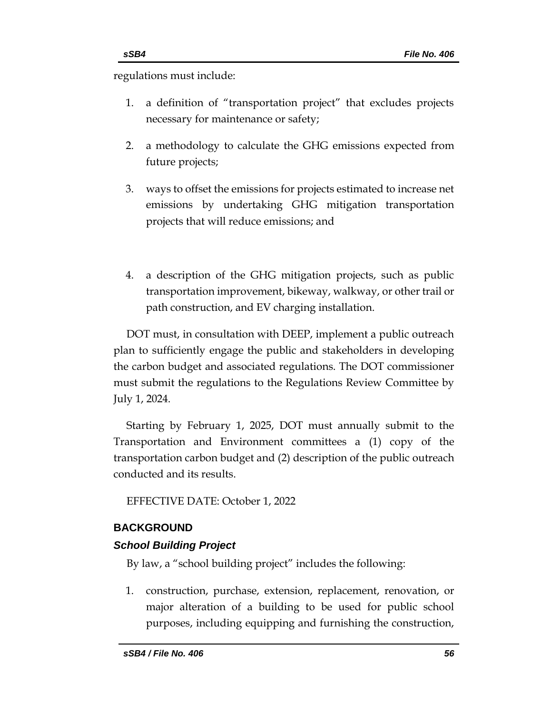regulations must include:

- 1. a definition of "transportation project" that excludes projects necessary for maintenance or safety;
- 2. a methodology to calculate the GHG emissions expected from future projects;
- 3. ways to offset the emissions for projects estimated to increase net emissions by undertaking GHG mitigation transportation projects that will reduce emissions; and
- 4. a description of the GHG mitigation projects, such as public transportation improvement, bikeway, walkway, or other trail or path construction, and EV charging installation.

DOT must, in consultation with DEEP, implement a public outreach plan to sufficiently engage the public and stakeholders in developing the carbon budget and associated regulations. The DOT commissioner must submit the regulations to the Regulations Review Committee by July 1, 2024.

Starting by February 1, 2025, DOT must annually submit to the Transportation and Environment committees a (1) copy of the transportation carbon budget and (2) description of the public outreach conducted and its results.

EFFECTIVE DATE: October 1, 2022

## <span id="page-55-0"></span>**BACKGROUND**

## *School Building Project*

By law, a "school building project" includes the following:

1. construction, purchase, extension, replacement, renovation, or major alteration of a building to be used for public school purposes, including equipping and furnishing the construction,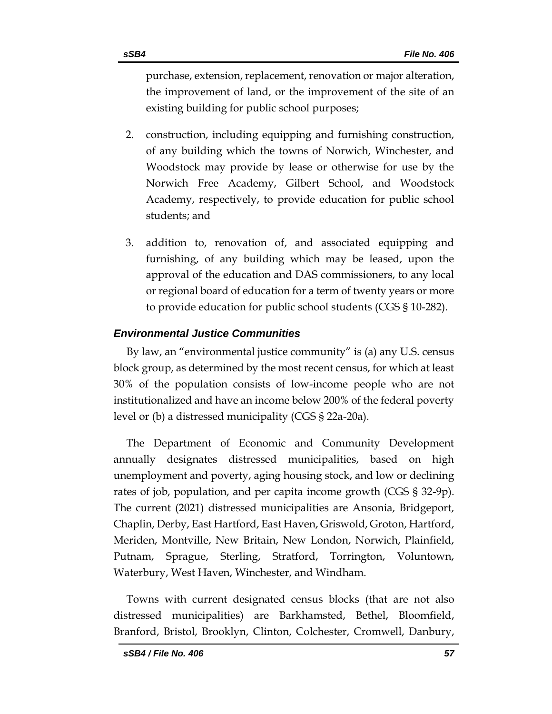purchase, extension, replacement, renovation or major alteration, the improvement of land, or the improvement of the site of an existing building for public school purposes;

- 2. construction, including equipping and furnishing construction, of any building which the towns of Norwich, Winchester, and Woodstock may provide by lease or otherwise for use by the Norwich Free Academy, Gilbert School, and Woodstock Academy, respectively, to provide education for public school students; and
- 3. addition to, renovation of, and associated equipping and furnishing, of any building which may be leased, upon the approval of the education and DAS commissioners, to any local or regional board of education for a term of twenty years or more to provide education for public school students (CGS § 10-282).

## *Environmental Justice Communities*

By law, an "environmental justice community" is (a) any U.S. census block group, as determined by the most recent census, for which at least 30% of the population consists of low-income people who are not institutionalized and have an income below 200% of the federal poverty level or (b) a distressed municipality (CGS § 22a-20a).

The Department of Economic and Community Development annually designates distressed municipalities, based on high unemployment and poverty, aging housing stock, and low or declining rates of job, population, and per capita income growth (CGS § 32-9p). The current (2021) distressed municipalities are Ansonia, Bridgeport, Chaplin, Derby, East Hartford, East Haven, Griswold, Groton, Hartford, Meriden, Montville, New Britain, New London, Norwich, Plainfield, Putnam, Sprague, Sterling, Stratford, Torrington, Voluntown, Waterbury, West Haven, Winchester, and Windham.

Towns with current designated census blocks (that are not also distressed municipalities) are Barkhamsted, Bethel, Bloomfield, Branford, Bristol, Brooklyn, Clinton, Colchester, Cromwell, Danbury,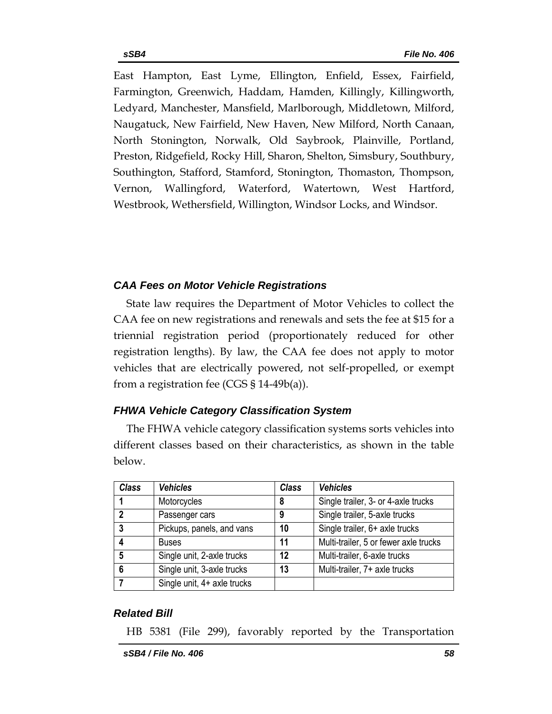East Hampton, East Lyme, Ellington, Enfield, Essex, Fairfield, Farmington, Greenwich, Haddam, Hamden, Killingly, Killingworth, Ledyard, Manchester, Mansfield, Marlborough, Middletown, Milford, Naugatuck, New Fairfield, New Haven, New Milford, North Canaan, North Stonington, Norwalk, Old Saybrook, Plainville, Portland, Preston, Ridgefield, Rocky Hill, Sharon, Shelton, Simsbury, Southbury, Southington, Stafford, Stamford, Stonington, Thomaston, Thompson, Vernon, Wallingford, Waterford, Watertown, West Hartford, Westbrook, Wethersfield, Willington, Windsor Locks, and Windsor.

## *CAA Fees on Motor Vehicle Registrations*

State law requires the Department of Motor Vehicles to collect the CAA fee on new registrations and renewals and sets the fee at \$15 for a triennial registration period (proportionately reduced for other registration lengths). By law, the CAA fee does not apply to motor vehicles that are electrically powered, not self-propelled, or exempt from a registration fee (CGS  $\S$  14-49b(a)).

## *FHWA Vehicle Category Classification System*

The FHWA vehicle category classification systems sorts vehicles into different classes based on their characteristics, as shown in the table below.

| <b>Class</b>               | <b>Vehicles</b>             | <b>Class</b> | <b>Vehicles</b>                       |
|----------------------------|-----------------------------|--------------|---------------------------------------|
|                            | Motorcycles                 | 8            | Single trailer, 3- or 4-axle trucks   |
| $\boldsymbol{\mathcal{D}}$ | Passenger cars              | 9            | Single trailer, 5-axle trucks         |
| 3                          | Pickups, panels, and vans   | 10           | Single trailer, 6+ axle trucks        |
|                            | <b>Buses</b>                | 11           | Multi-trailer, 5 or fewer axle trucks |
| $5\phantom{.0}$            | Single unit, 2-axle trucks  | 12           | Multi-trailer, 6-axle trucks          |
| 6                          | Single unit, 3-axle trucks  | 13           | Multi-trailer, 7+ axle trucks         |
|                            | Single unit, 4+ axle trucks |              |                                       |

## *Related Bill*

HB 5381 (File 299), favorably reported by the Transportation